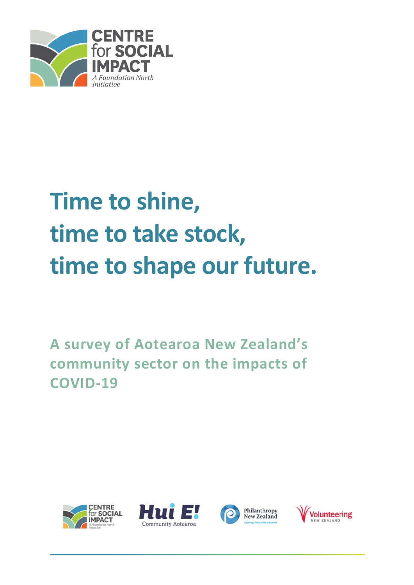

# **Time to shine, time to take stock, time to shape our future.**

**A survey of Aotearoa New Zealand's community sector on the impacts of COVID‐19** 







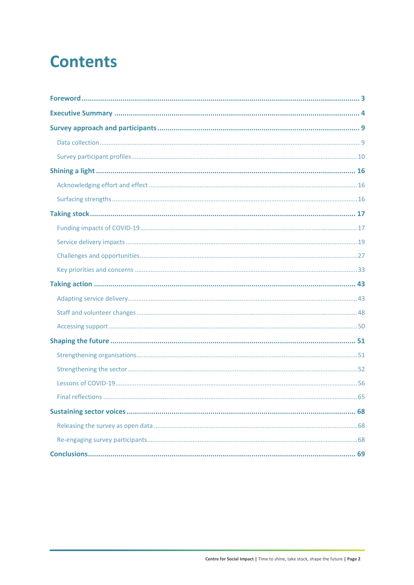## **Contents**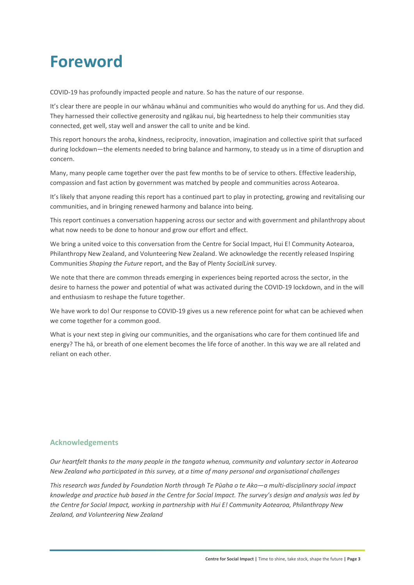## **Foreword**

COVID‐19 has profoundly impacted people and nature. So has the nature of our response.

It's clear there are people in our whānau whānui and communities who would do anything for us. And they did. They harnessed their collective generosity and ngākau nui, big heartedness to help their communities stay connected, get well, stay well and answer the call to unite and be kind.

This report honours the aroha, kindness, reciprocity, innovation, imagination and collective spirit that surfaced during lockdown—the elements needed to bring balance and harmony, to steady us in a time of disruption and concern.

Many, many people came together over the past few months to be of service to others. Effective leadership, compassion and fast action by government was matched by people and communities across Aotearoa.

It's likely that anyone reading this report has a continued part to play in protecting, growing and revitalising our communities, and in bringing renewed harmony and balance into being.

This report continues a conversation happening across our sector and with government and philanthropy about what now needs to be done to honour and grow our effort and effect.

We bring a united voice to this conversation from the Centre for Social Impact, Hui E! Community Aotearoa, Philanthropy New Zealand, and Volunteering New Zealand. We acknowledge the recently released Inspiring Communities *Shaping the Future* report, and the Bay of Plenty *SocialLink* survey.

We note that there are common threads emerging in experiences being reported across the sector, in the desire to harness the power and potential of what was activated during the COVID‐19 lockdown, and in the will and enthusiasm to reshape the future together.

We have work to do! Our response to COVID-19 gives us a new reference point for what can be achieved when we come together for a common good.

What is your next step in giving our communities, and the organisations who care for them continued life and energy? The hā, or breath of one element becomes the life force of another. In this way we are all related and reliant on each other.

#### **Acknowledgements**

*Our heartfelt thanks to the many people in the tangata whenua, community and voluntary sector in Aotearoa New Zealand who participated in this survey, at a time of many personal and organisational challenges* 

*This research was funded by Foundation North through Te Pūaha o te Ako—a multi‐disciplinary social impact knowledge and practice hub based in the Centre for Social Impact. The survey's design and analysis was led by the Centre for Social Impact, working in partnership with Hui E! Community Aotearoa, Philanthropy New Zealand, and Volunteering New Zealand*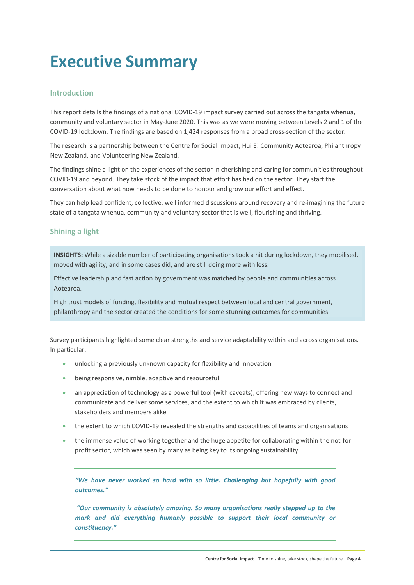## **Executive Summary**

#### **Introduction**

This report details the findings of a national COVID‐19 impact survey carried out across the tangata whenua, community and voluntary sector in May-June 2020. This was as we were moving between Levels 2 and 1 of the COVID‐19 lockdown. The findings are based on 1,424 responses from a broad cross‐section of the sector.

The research is a partnership between the Centre for Social Impact, Hui E! Community Aotearoa, Philanthropy New Zealand, and Volunteering New Zealand.

The findings shine a light on the experiences of the sector in cherishing and caring for communities throughout COVID‐19 and beyond. They take stock of the impact that effort has had on the sector. They start the conversation about what now needs to be done to honour and grow our effort and effect.

They can help lead confident, collective, well informed discussions around recovery and re-imagining the future state of a tangata whenua, community and voluntary sector that is well, flourishing and thriving.

#### **Shining a light**

**INSIGHTS:** While a sizable number of participating organisations took a hit during lockdown, they mobilised, moved with agility, and in some cases did, and are still doing more with less.

Effective leadership and fast action by government was matched by people and communities across Aotearoa.

High trust models of funding, flexibility and mutual respect between local and central government, philanthropy and the sector created the conditions for some stunning outcomes for communities.

Survey participants highlighted some clear strengths and service adaptability within and across organisations. In particular:

- unlocking a previously unknown capacity for flexibility and innovation
- being responsive, nimble, adaptive and resourceful
- an appreciation of technology as a powerful tool (with caveats), offering new ways to connect and communicate and deliver some services, and the extent to which it was embraced by clients, stakeholders and members alike
- the extent to which COVID‐19 revealed the strengths and capabilities of teams and organisations
- the immense value of working together and the huge appetite for collaborating within the not-forprofit sector, which was seen by many as being key to its ongoing sustainability.

*"We have never worked so hard with so little. Challenging but hopefully with good outcomes."* 

 *"Our community is absolutely amazing. So many organisations really stepped up to the mark and did everything humanly possible to support their local community or constituency."*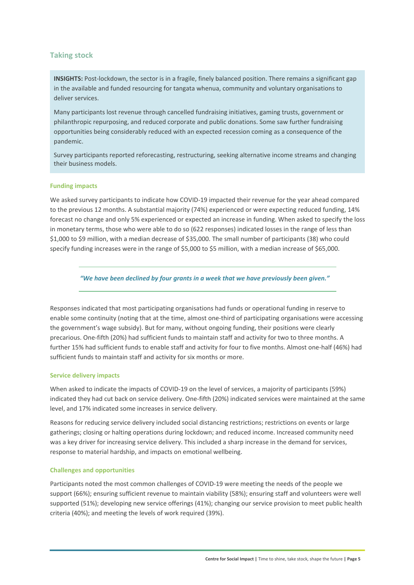#### **Taking stock**

**INSIGHTS:** Post-lockdown, the sector is in a fragile, finely balanced position. There remains a significant gap in the available and funded resourcing for tangata whenua, community and voluntary organisations to deliver services.

Many participants lost revenue through cancelled fundraising initiatives, gaming trusts, government or philanthropic repurposing, and reduced corporate and public donations. Some saw further fundraising opportunities being considerably reduced with an expected recession coming as a consequence of the pandemic.

Survey participants reported reforecasting, restructuring, seeking alternative income streams and changing their business models.

#### **Funding impacts**

We asked survey participants to indicate how COVID‐19 impacted their revenue for the year ahead compared to the previous 12 months. A substantial majority (74%) experienced or were expecting reduced funding, 14% forecast no change and only 5% experienced or expected an increase in funding. When asked to specify the loss in monetary terms, those who were able to do so (622 responses) indicated losses in the range of less than \$1,000 to \$9 million, with a median decrease of \$35,000. The small number of participants (38) who could specify funding increases were in the range of \$5,000 to \$5 million, with a median increase of \$65,000.

*"We have been declined by four grants in a week that we have previously been given."* 

Responses indicated that most participating organisations had funds or operational funding in reserve to enable some continuity (noting that at the time, almost one-third of participating organisations were accessing the government's wage subsidy). But for many, without ongoing funding, their positions were clearly precarious. One‐fifth (20%) had sufficient funds to maintain staff and activity for two to three months. A further 15% had sufficient funds to enable staff and activity for four to five months. Almost one‐half (46%) had sufficient funds to maintain staff and activity for six months or more.

#### **Service delivery impacts**

When asked to indicate the impacts of COVID-19 on the level of services, a majority of participants (59%) indicated they had cut back on service delivery. One‐fifth (20%) indicated services were maintained at the same level, and 17% indicated some increases in service delivery.

Reasons for reducing service delivery included social distancing restrictions; restrictions on events or large gatherings; closing or halting operations during lockdown; and reduced income. Increased community need was a key driver for increasing service delivery. This included a sharp increase in the demand for services, response to material hardship, and impacts on emotional wellbeing.

#### **Challenges and opportunities**

Participants noted the most common challenges of COVID‐19 were meeting the needs of the people we support (66%); ensuring sufficient revenue to maintain viability (58%); ensuring staff and volunteers were well supported (51%); developing new service offerings (41%); changing our service provision to meet public health criteria (40%); and meeting the levels of work required (39%).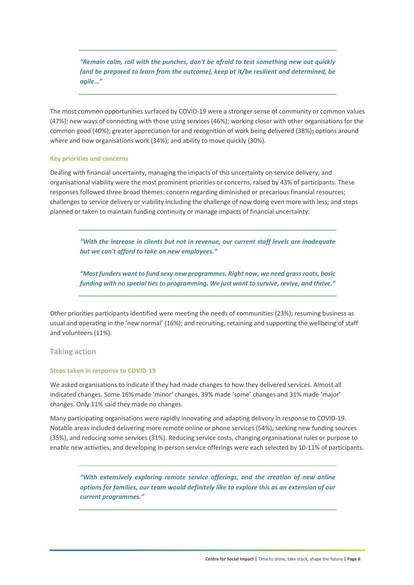*"Remain calm, roll with the punches, don't be afraid to test something new out quickly (and be prepared to learn from the outcome), keep at it/be resilient and determined, be agile…"* 

The most common opportunities surfaced by COVID‐19 were a stronger sense of community or common values (47%); new ways of connecting with those using services (46%); working closer with other organisations for the common good (40%); greater appreciation for and recognition of work being delivered (38%); options around where and how organisations work (34%); and ability to move quickly (30%).

#### **Key priorities and concerns**

Dealing with financial uncertainty, managing the impacts of this uncertainty on service delivery, and organisational viability were the most prominent priorities or concerns, raised by 43% of participants. These responses followed three broad themes: concern regarding diminished or precarious financial resources; challenges to service delivery or viability including the challenge of now doing even more with less; and steps planned or taken to maintain funding continuity or manage impacts of financial uncertainty.

*"With the increase in clients but not in revenue, our current staff levels are inadequate but we can't afford to take on new employees."* 

*"Most funders want to fund sexy new programmes. Right now, we need grass roots, basic funding with no special ties to programming. We just want to survive, revive, and thrive."* 

Other priorities participants identified were meeting the needs of communities (23%); resuming business as usual and operating in the 'new normal' (16%); and recruiting, retaining and supporting the wellbeing of staff and volunteers (11%).

#### **Taking action**

#### **Steps taken in response to COVID‐19**

We asked organisations to indicate if they had made changes to how they delivered services. Almost all indicated changes. Some 16% made 'minor' changes, 39% made 'some' changes and 31% made 'major' changes. Only 11% said they made no changes.

Many participating organisations were rapidly innovating and adapting delivery in response to COVID‐19. Notable areas included delivering more remote online or phone services (54%), seeking new funding sources (35%), and reducing some services (31%). Reducing service costs, changing organisational rules or purpose to enable new activities, and developing in-person service offerings were each selected by 10-11% of participants.

*"With extensively exploring remote service offerings, and the creation of new online options for families, our team would definitely like to explore this as an extension of our current programmes."*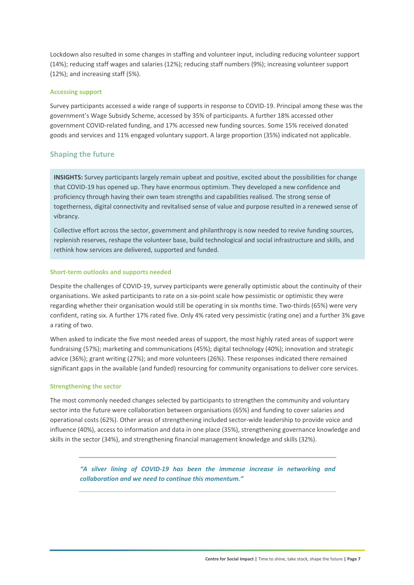Lockdown also resulted in some changes in staffing and volunteer input, including reducing volunteer support (14%); reducing staff wages and salaries (12%); reducing staff numbers (9%); increasing volunteer support (12%); and increasing staff (5%).

#### **Accessing support**

Survey participants accessed a wide range of supports in response to COVID‐19. Principal among these was the government's Wage Subsidy Scheme, accessed by 35% of participants. A further 18% accessed other government COVID‐related funding, and 17% accessed new funding sources. Some 15% received donated goods and services and 11% engaged voluntary support. A large proportion (35%) indicated not applicable.

#### **Shaping the future**

**INSIGHTS:** Survey participants largely remain upbeat and positive, excited about the possibilities for change that COVID‐19 has opened up. They have enormous optimism. They developed a new confidence and proficiency through having their own team strengths and capabilities realised. The strong sense of togetherness, digital connectivity and revitalised sense of value and purpose resulted in a renewed sense of vibrancy.

Collective effort across the sector, government and philanthropy is now needed to revive funding sources, replenish reserves, reshape the volunteer base, build technological and social infrastructure and skills, and rethink how services are delivered, supported and funded.

#### **Short‐term outlooks and supports needed**

Despite the challenges of COVID‐19, survey participants were generally optimistic about the continuity of their organisations. We asked participants to rate on a six‐point scale how pessimistic or optimistic they were regarding whether their organisation would still be operating in six months time. Two-thirds (65%) were very confident, rating six. A further 17% rated five. Only 4% rated very pessimistic (rating one) and a further 3% gave a rating of two.

When asked to indicate the five most needed areas of support, the most highly rated areas of support were fundraising (57%); marketing and communications (45%); digital technology (40%); innovation and strategic advice (36%); grant writing (27%); and more volunteers (26%). These responses indicated there remained significant gaps in the available (and funded) resourcing for community organisations to deliver core services.

#### **Strengthening the sector**

The most commonly needed changes selected by participants to strengthen the community and voluntary sector into the future were collaboration between organisations (65%) and funding to cover salaries and operational costs (62%). Other areas of strengthening included sector-wide leadership to provide voice and influence (40%), access to information and data in one place (35%), strengthening governance knowledge and skills in the sector (34%), and strengthening financial management knowledge and skills (32%).

*"A silver lining of COVID‐19 has been the immense increase in networking and collaboration and we need to continue this momentum."*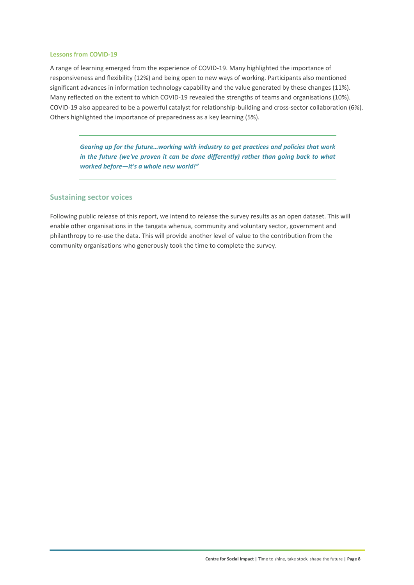#### **Lessons from COVID‐19**

A range of learning emerged from the experience of COVID‐19. Many highlighted the importance of responsiveness and flexibility (12%) and being open to new ways of working. Participants also mentioned significant advances in information technology capability and the value generated by these changes (11%). Many reflected on the extent to which COVID-19 revealed the strengths of teams and organisations (10%). COVID-19 also appeared to be a powerful catalyst for relationship-building and cross-sector collaboration (6%). Others highlighted the importance of preparedness as a key learning (5%).

*Gearing up for the future…working with industry to get practices and policies that work in the future (we've proven it can be done differently) rather than going back to what worked before—it's a whole new world!"* 

#### **Sustaining sector voices**

Following public release of this report, we intend to release the survey results as an open dataset. This will enable other organisations in the tangata whenua, community and voluntary sector, government and philanthropy to re‐use the data. This will provide another level of value to the contribution from the community organisations who generously took the time to complete the survey.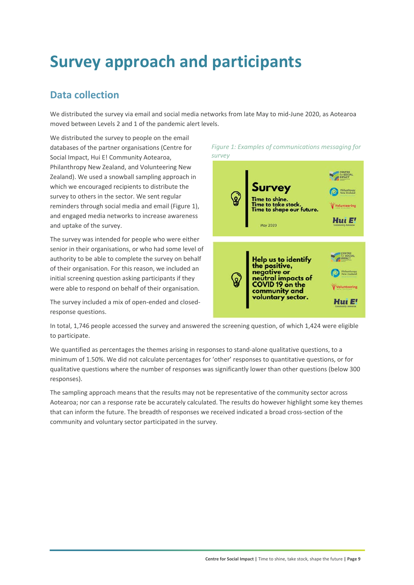## **Survey approach and participants**

## **Data collection**

We distributed the survey via email and social media networks from late May to mid‐June 2020, as Aotearoa moved between Levels 2 and 1 of the pandemic alert levels.

We distributed the survey to people on the email databases of the partner organisations (Centre for Social Impact, Hui E! Community Aotearoa, Philanthropy New Zealand, and Volunteering New Zealand). We used a snowball sampling approach in which we encouraged recipients to distribute the survey to others in the sector. We sent regular reminders through social media and email (Figure 1), and engaged media networks to increase awareness and uptake of the survey.

The survey was intended for people who were either senior in their organisations, or who had some level of authority to be able to complete the survey on behalf of their organisation. For this reason, we included an initial screening question asking participants if they were able to respond on behalf of their organisation.

The survey included a mix of open‐ended and closed‐ response questions.

*Figure 1: Examples of communications messaging for survey*



In total, 1,746 people accessed the survey and answered the screening question, of which 1,424 were eligible to participate.

We quantified as percentages the themes arising in responses to stand-alone qualitative questions, to a minimum of 1.50%. We did not calculate percentages for 'other' responses to quantitative questions, or for qualitative questions where the number of responses was significantly lower than other questions (below 300 responses).

The sampling approach means that the results may not be representative of the community sector across Aotearoa; nor can a response rate be accurately calculated. The results do however highlight some key themes that can inform the future. The breadth of responses we received indicated a broad cross-section of the community and voluntary sector participated in the survey.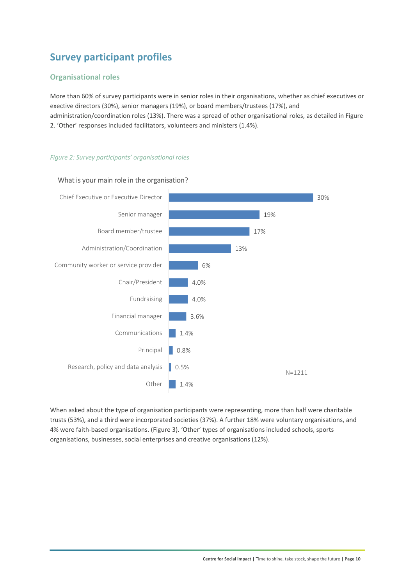## **Survey participant profiles**

#### **Organisational roles**

More than 60% of survey participants were in senior roles in their organisations, whether as chief executives or exective directors (30%), senior managers (19%), or board members/trustees (17%), and administration/coordination roles (13%). There was a spread of other organisational roles, as detailed in Figure 2. 'Other' responses included facilitators, volunteers and ministers (1.4%).

#### *Figure 2: Survey participants' organisational roles*



#### What is your main role in the organisation?

When asked about the type of organisation participants were representing, more than half were charitable trusts (53%), and a third were incorporated societies (37%). A further 18% were voluntary organisations, and 4% were faith‐based organisations. (Figure 3). 'Other' types of organisations included schools, sports organisations, businesses, social enterprises and creative organisations (12%).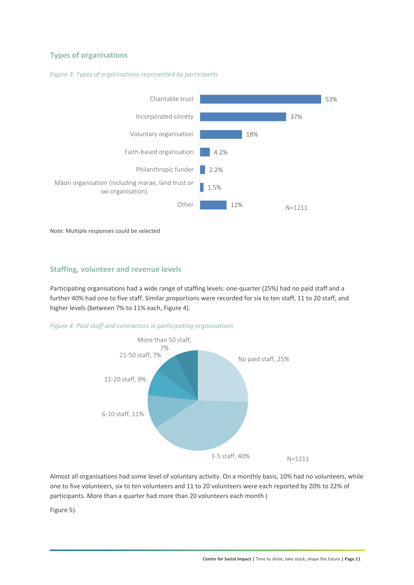#### **Types of organisations**



*Figure 3: Types of organisations represented by participants* 

Note: Multiple responses could be selected

#### **Staffing, volunteer and revenue levels**

Participating organisations had a wide range of staffing levels: one-quarter (25%) had no paid staff and a further 40% had one to five staff. Similar proportions were recorded for six to ten staff, 11 to 20 staff, and higher levels (between 7% to 11% each, Figure 4).





Almost all organisations had some level of voluntary activity. On a monthly basis, 10% had no volunteers, while one to five volunteers, six to ten volunteers and 11 to 20 volunteers were each reported by 20% to 22% of participants. More than a quarter had more than 20 volunteers each month (

Figure 5).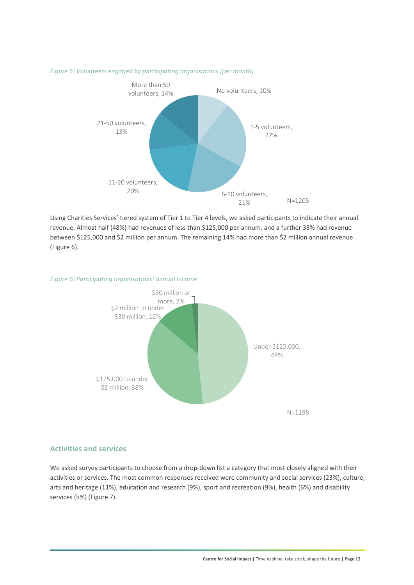

#### *Figure 5: Volunteers engaged by participating organisations (per month)*

Using Charities Services' tiered system of Tier 1 to Tier 4 levels, we asked participants to indicate their annual revenue. Almost half (48%) had revenues of less than \$125,000 per annum, and a further 38% had revenue between \$125,000 and \$2 million per annum. The remaining 14% had more than \$2 million annual revenue (Figure 6).

#### *Figure 6: Participating organisations' annual income*



#### **Activities and services**

We asked survey participants to choose from a drop-down list a category that most closely aligned with their activities or services. The most common responses received were community and social services (23%), culture, arts and heritage (11%), education and research (9%), sport and recreation (9%), health (6%) and disability services (5%) (Figure 7).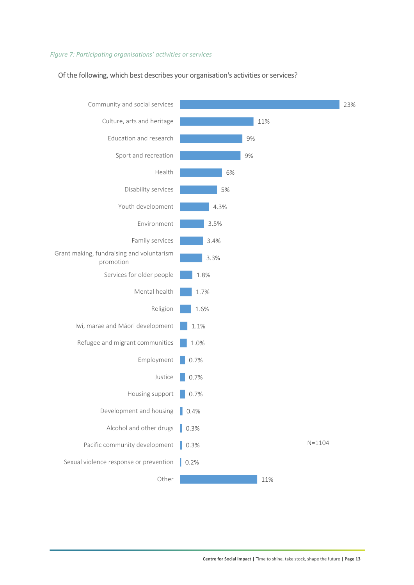#### *Figure 7: Participating organisations' activities or services*

#### Of the following, which best describes your organisation's activities or services?

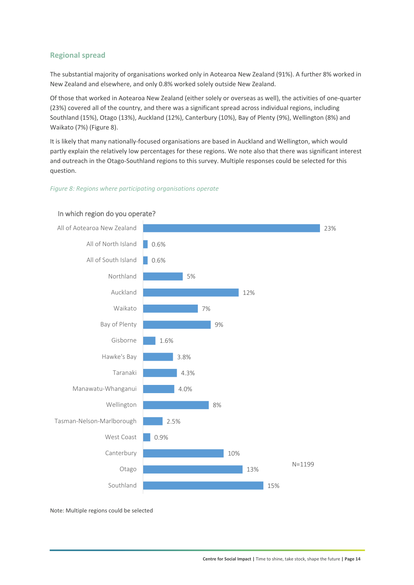#### **Regional spread**

The substantial majority of organisations worked only in Aotearoa New Zealand (91%). A further 8% worked in New Zealand and elsewhere, and only 0.8% worked solely outside New Zealand.

Of those that worked in Aotearoa New Zealand (either solely or overseas as well), the activities of one‐quarter (23%) covered all of the country, and there was a significant spread across individual regions, including Southland (15%), Otago (13%), Auckland (12%), Canterbury (10%), Bay of Plenty (9%), Wellington (8%) and Waikato (7%) (Figure 8).

It is likely that many nationally‐focused organisations are based in Auckland and Wellington, which would partly explain the relatively low percentages for these regions. We note also that there was significant interest and outreach in the Otago-Southland regions to this survey. Multiple responses could be selected for this question.

#### *Figure 8: Regions where participating organisations operate*



#### In which region do you operate?

Note: Multiple regions could be selected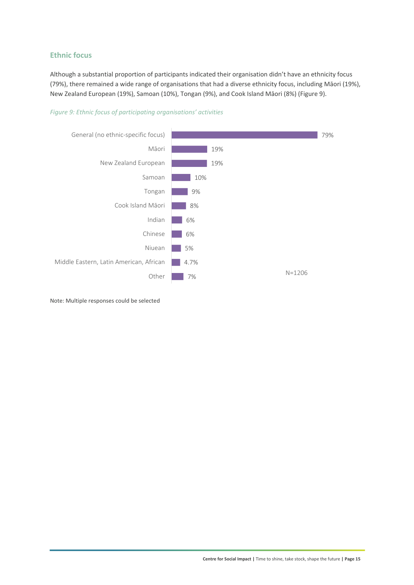#### **Ethnic focus**

Although a substantial proportion of participants indicated their organisation didn't have an ethnicity focus (79%), there remained a wide range of organisations that had a diverse ethnicity focus, including Māori (19%), New Zealand European (19%), Samoan (10%), Tongan (9%), and Cook Island Māori (8%) (Figure 9).

#### *Figure 9: Ethnic focus of participating organisations' activities*



Note: Multiple responses could be selected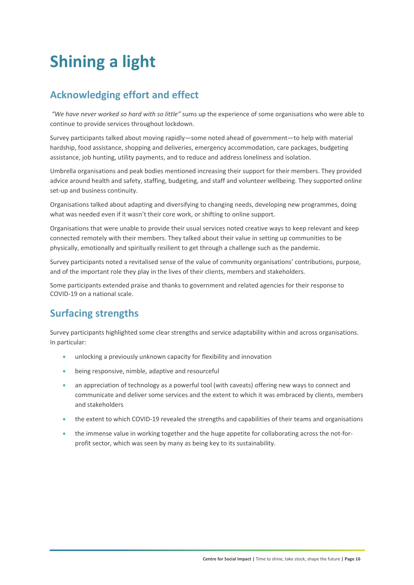## **Shining a light**

## **Acknowledging effort and effect**

 *"We have never worked so hard with so little"* sums up the experience of some organisations who were able to continue to provide services throughout lockdown.

Survey participants talked about moving rapidly—some noted ahead of government—to help with material hardship, food assistance, shopping and deliveries, emergency accommodation, care packages, budgeting assistance, job hunting, utility payments, and to reduce and address loneliness and isolation.

Umbrella organisations and peak bodies mentioned increasing their support for their members. They provided advice around health and safety, staffing, budgeting, and staff and volunteer wellbeing. They supported online set-up and business continuity.

Organisations talked about adapting and diversifying to changing needs, developing new programmes, doing what was needed even if it wasn't their core work, or shifting to online support.

Organisations that were unable to provide their usual services noted creative ways to keep relevant and keep connected remotely with their members. They talked about their value in setting up communities to be physically, emotionally and spiritually resilient to get through a challenge such as the pandemic.

Survey participants noted a revitalised sense of the value of community organisations' contributions, purpose, and of the important role they play in the lives of their clients, members and stakeholders.

Some participants extended praise and thanks to government and related agencies for their response to COVID‐19 on a national scale.

## **Surfacing strengths**

Survey participants highlighted some clear strengths and service adaptability within and across organisations. In particular:

- unlocking a previously unknown capacity for flexibility and innovation
- being responsive, nimble, adaptive and resourceful
- an appreciation of technology as a powerful tool (with caveats) offering new ways to connect and communicate and deliver some services and the extent to which it was embraced by clients, members and stakeholders
- the extent to which COVID‐19 revealed the strengths and capabilities of their teams and organisations
- the immense value in working together and the huge appetite for collaborating across the not-forprofit sector, which was seen by many as being key to its sustainability.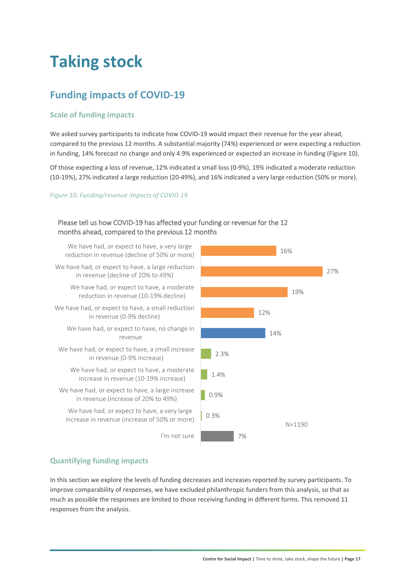## **Taking stock**

## **Funding impacts of COVID‐19**

#### **Scale of funding impacts**

We asked survey participants to indicate how COVID-19 would impact their revenue for the year ahead, compared to the previous 12 months. A substantial majority (74%) experienced or were expecting a reduction in funding, 14% forecast no change and only 4.9% experienced or expected an increase in funding (Figure 10).

Of those expecting a loss of revenue, 12% indicated a small loss (0‐9%), 19% indicated a moderate reduction (10‐19%), 27% indicated a large reduction (20‐49%), and 16% indicated a very large reduction (50% or more).

#### *Figure 10: Funding/revenue impacts of COVID‐19*

#### Please tell us how COVID‐19 has affected your funding or revenue for the 12 months ahead, compared to the previous 12 months

We have had, or expect to have, a very large reduction in revenue (decline of 50% or more)

We have had, or expect to have, a large reduction in revenue (decline of 20% to 49%)

> We have had, or expect to have, a moderate reduction in revenue (10‐19% decline)

- We have had, or expect to have, a small reduction in revenue (0‐9% decline)
	- We have had, or expect to have, no change in revenue
- We have had, or expect to have, a small increase in revenue (0‐9% increase)
	- We have had, or expect to have, a moderate increase in revenue (10‐19% increase)
- We have had, or expect to have, a large increase in revenue (increase of 20% to 49%)

We have had, or expect to have, a very large increase in revenue (increase of 50% or more)



7%

#### **Quantifying funding impacts**

In this section we explore the levels of funding decreases and increases reported by survey participants. To improve comparability of responses, we have excluded philanthropic funders from this analysis, so that as much as possible the responses are limited to those receiving funding in different forms. This removed 11 responses from the analysis.

I'm not sure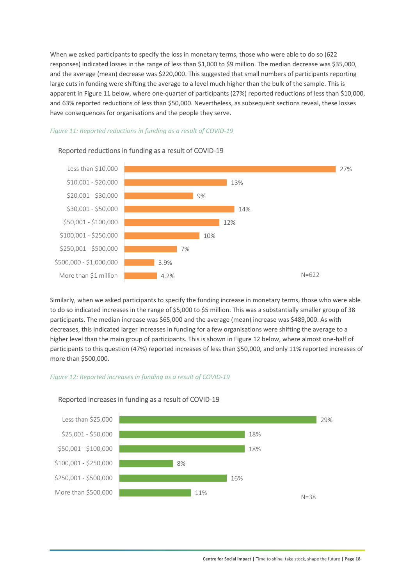When we asked participants to specify the loss in monetary terms, those who were able to do so (622 responses) indicated losses in the range of less than \$1,000 to \$9 million. The median decrease was \$35,000, and the average (mean) decrease was \$220,000. This suggested that small numbers of participants reporting large cuts in funding were shifting the average to a level much higher than the bulk of the sample. This is apparent in Figure 11 below, where one‐quarter of participants (27%) reported reductions of less than \$10,000, and 63% reported reductions of less than \$50,000. Nevertheless, as subsequent sections reveal, these losses have consequences for organisations and the people they serve.

#### *Figure 11: Reported reductions in funding as a result of COVID‐19*



#### Reported reductions in funding as a result of COVID‐19

Similarly, when we asked participants to specify the funding increase in monetary terms, those who were able to do so indicated increases in the range of \$5,000 to \$5 million. This was a substantially smaller group of 38 participants. The median increase was \$65,000 and the average (mean) increase was \$489,000. As with decreases, this indicated larger increases in funding for a few organisations were shifting the average to a higher level than the main group of participants. This is shown in Figure 12 below, where almost one-half of participants to this question (47%) reported increases of less than \$50,000, and only 11% reported increases of more than \$500,000.

#### *Figure 12: Reported increases in funding as a result of COVID‐19*



#### Reported increases in funding as a result of COVID‐19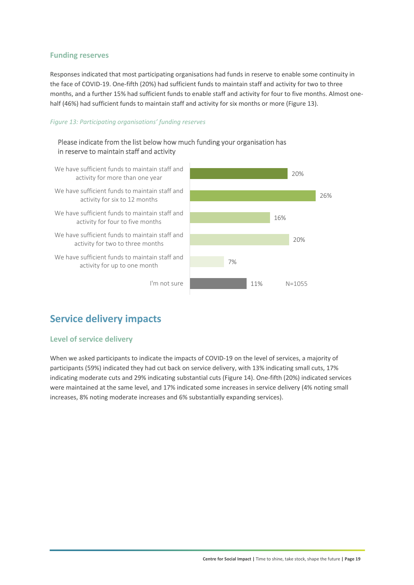#### **Funding reserves**

Responses indicated that most participating organisations had funds in reserve to enable some continuity in the face of COVID‐19. One‐fifth (20%) had sufficient funds to maintain staff and activity for two to three months, and a further 15% had sufficient funds to enable staff and activity for four to five months. Almost one‐ half (46%) had sufficient funds to maintain staff and activity for six months or more (Figure 13).

#### *Figure 13: Participating organisations' funding reserves*



### **Service delivery impacts**

#### **Level of service delivery**

When we asked participants to indicate the impacts of COVID-19 on the level of services, a majority of participants (59%) indicated they had cut back on service delivery, with 13% indicating small cuts, 17% indicating moderate cuts and 29% indicating substantial cuts (Figure 14). One‐fifth (20%) indicated services were maintained at the same level, and 17% indicated some increases in service delivery (4% noting small increases, 8% noting moderate increases and 6% substantially expanding services).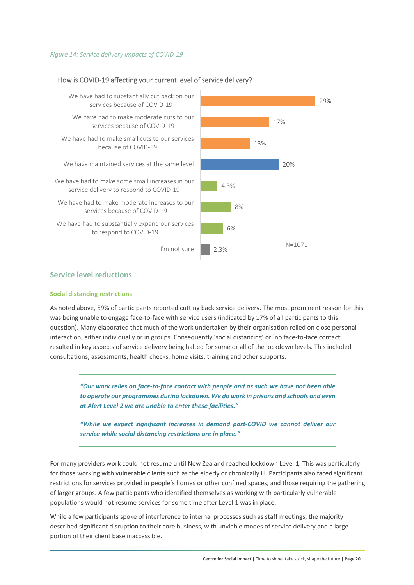#### *Figure 14: Service delivery impacts of COVID‐19*

#### 4.3% 8% 6% 2.3% We have had to substantially cut back on our services because of COVID-19 We have had to make moderate cuts to our services because of COVID‐19 We have had to make small cuts to our services because of COVID‐19 We have maintained services at the same level We have had to make some small increases in our service delivery to respond to COVID‐19 We have had to make moderate increases to our services because of COVID-19 We have had to substantially expand our services to respond to COVID‐19 I'm not sure

#### How is COVID‐19 affecting your current level of service delivery?



#### **Service level reductions**

#### **Social distancing restrictions**

As noted above, 59% of participants reported cutting back service delivery. The most prominent reason for this was being unable to engage face-to-face with service users (indicated by 17% of all participants to this question). Many elaborated that much of the work undertaken by their organisation relied on close personal interaction, either individually or in groups. Consequently 'social distancing' or 'no face‐to‐face contact' resulted in key aspects of service delivery being halted for some or all of the lockdown levels. This included consultations, assessments, health checks, home visits, training and other supports.

*"Our work relies on face‐to‐face contact with people and as such we have not been able to operate our programmes during lockdown. We do work in prisons and schools and even at Alert Level 2 we are unable to enter these facilities."* 

*"While we expect significant increases in demand post‐COVID we cannot deliver our service while social distancing restrictions are in place."* 

For many providers work could not resume until New Zealand reached lockdown Level 1. This was particularly for those working with vulnerable clients such as the elderly or chronically ill. Participants also faced significant restrictions for services provided in people's homes or other confined spaces, and those requiring the gathering of larger groups. A few participants who identified themselves as working with particularly vulnerable populations would not resume services for some time after Level 1 was in place.

While a few participants spoke of interference to internal processes such as staff meetings, the majority described significant disruption to their core business, with unviable modes of service delivery and a large portion of their client base inaccessible.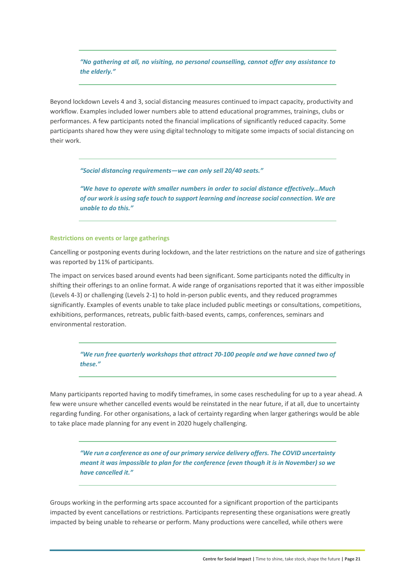*"No gathering at all, no visiting, no personal counselling, cannot offer any assistance to the elderly."* 

Beyond lockdown Levels 4 and 3, social distancing measures continued to impact capacity, productivity and workflow. Examples included lower numbers able to attend educational programmes, trainings, clubs or performances. A few participants noted the financial implications of significantly reduced capacity. Some participants shared how they were using digital technology to mitigate some impacts of social distancing on their work.

*"Social distancing requirements—we can only sell 20/40 seats."* 

*"We have to operate with smaller numbers in order to social distance effectively…Much of our work is using safe touch to support learning and increase social connection. We are unable to do this."* 

#### **Restrictions on events or large gatherings**

Cancelling or postponing events during lockdown, and the later restrictions on the nature and size of gatherings was reported by 11% of participants.

The impact on services based around events had been significant. Some participants noted the difficulty in shifting their offerings to an online format. A wide range of organisations reported that it was either impossible (Levels 4‐3) or challenging (Levels 2‐1) to hold in‐person public events, and they reduced programmes significantly. Examples of events unable to take place included public meetings or consultations, competitions, exhibitions, performances, retreats, public faith‐based events, camps, conferences, seminars and environmental restoration.

*"We run free quarterly workshops that attract 70‐100 people and we have canned two of these."* 

Many participants reported having to modify timeframes, in some cases rescheduling for up to a year ahead. A few were unsure whether cancelled events would be reinstated in the near future, if at all, due to uncertainty regarding funding. For other organisations, a lack of certainty regarding when larger gatherings would be able to take place made planning for any event in 2020 hugely challenging.

*"We run a conference as one of our primary service delivery offers. The COVID uncertainty meant it was impossible to plan for the conference (even though it is in November) so we have cancelled it."* 

Groups working in the performing arts space accounted for a significant proportion of the participants impacted by event cancellations or restrictions. Participants representing these organisations were greatly impacted by being unable to rehearse or perform. Many productions were cancelled, while others were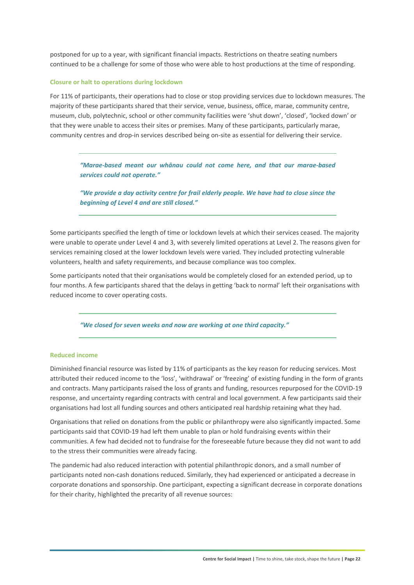postponed for up to a year, with significant financial impacts. Restrictions on theatre seating numbers continued to be a challenge for some of those who were able to host productions at the time of responding.

#### **Closure or halt to operations during lockdown**

For 11% of participants, their operations had to close or stop providing services due to lockdown measures. The majority of these participants shared that their service, venue, business, office, marae, community centre, museum, club, polytechnic, school or other community facilities were 'shut down', 'closed', 'locked down' or that they were unable to access their sites or premises. Many of these participants, particularly marae, community centres and drop-in services described being on-site as essential for delivering their service.

*"Marae‐based meant our whānau could not come here, and that our marae‐based services could not operate."* 

*"We provide a day activity centre for frail elderly people. We have had to close since the beginning of Level 4 and are still closed."* 

Some participants specified the length of time or lockdown levels at which their services ceased. The majority were unable to operate under Level 4 and 3, with severely limited operations at Level 2. The reasons given for services remaining closed at the lower lockdown levels were varied. They included protecting vulnerable volunteers, health and safety requirements, and because compliance was too complex.

Some participants noted that their organisations would be completely closed for an extended period, up to four months. A few participants shared that the delays in getting 'back to normal' left their organisations with reduced income to cover operating costs.

*"We closed for seven weeks and now are working at one third capacity."* 

#### **Reduced income**

Diminished financial resource was listed by 11% of participants as the key reason for reducing services. Most attributed their reduced income to the 'loss', 'withdrawal' or 'freezing' of existing funding in the form of grants and contracts. Many participants raised the loss of grants and funding, resources repurposed for the COVID‐19 response, and uncertainty regarding contracts with central and local government. A few participants said their organisations had lost all funding sources and others anticipated real hardship retaining what they had.

Organisations that relied on donations from the public or philanthropy were also significantly impacted. Some participants said that COVID‐19 had left them unable to plan or hold fundraising events within their communities. A few had decided not to fundraise for the foreseeable future because they did not want to add to the stress their communities were already facing.

The pandemic had also reduced interaction with potential philanthropic donors, and a small number of participants noted non-cash donations reduced. Similarly, they had experienced or anticipated a decrease in corporate donations and sponsorship. One participant, expecting a significant decrease in corporate donations for their charity, highlighted the precarity of all revenue sources: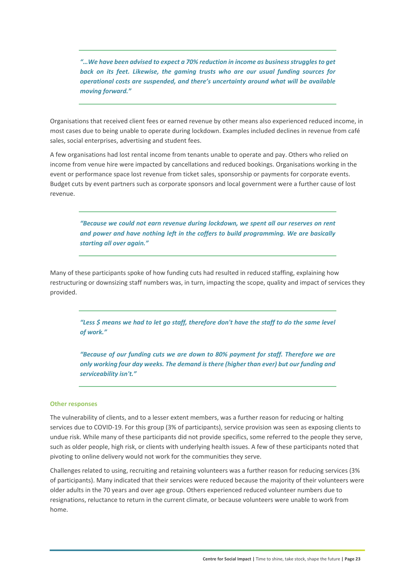*"…We have been advised to expect a 70% reduction in income as business struggles to get back on its feet. Likewise, the gaming trusts who are our usual funding sources for operational costs are suspended, and there's uncertainty around what will be available moving forward."* 

Organisations that received client fees or earned revenue by other means also experienced reduced income, in most cases due to being unable to operate during lockdown. Examples included declines in revenue from café sales, social enterprises, advertising and student fees.

A few organisations had lost rental income from tenants unable to operate and pay. Others who relied on income from venue hire were impacted by cancellations and reduced bookings. Organisations working in the event or performance space lost revenue from ticket sales, sponsorship or payments for corporate events. Budget cuts by event partners such as corporate sponsors and local government were a further cause of lost revenue.

*"Because we could not earn revenue during lockdown, we spent all our reserves on rent and power and have nothing left in the coffers to build programming. We are basically starting all over again."* 

Many of these participants spoke of how funding cuts had resulted in reduced staffing, explaining how restructuring or downsizing staff numbers was, in turn, impacting the scope, quality and impact of services they provided.

*"Less \$ means we had to let go staff, therefore don't have the staff to do the same level of work."* 

*"Because of our funding cuts we are down to 80% payment for staff. Therefore we are only working four day weeks. The demand is there (higher than ever) but our funding and serviceability isn't."* 

#### **Other responses**

The vulnerability of clients, and to a lesser extent members, was a further reason for reducing or halting services due to COVID‐19. For this group (3% of participants), service provision was seen as exposing clients to undue risk. While many of these participants did not provide specifics, some referred to the people they serve, such as older people, high risk, or clients with underlying health issues. A few of these participants noted that pivoting to online delivery would not work for the communities they serve.

Challenges related to using, recruiting and retaining volunteers was a further reason for reducing services (3% of participants). Many indicated that their services were reduced because the majority of their volunteers were older adults in the 70 years and over age group. Others experienced reduced volunteer numbers due to resignations, reluctance to return in the current climate, or because volunteers were unable to work from home.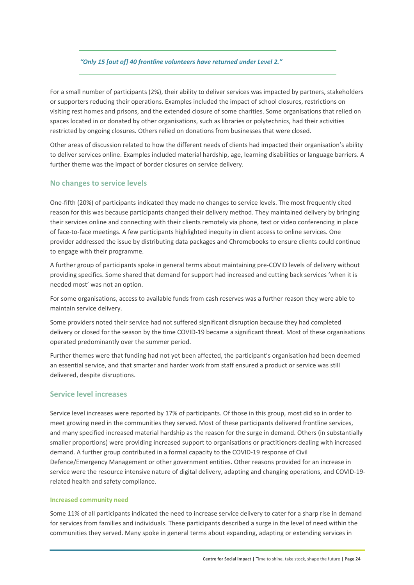*"Only 15 [out of] 40 frontline volunteers have returned under Level 2."* 

For a small number of participants (2%), their ability to deliver services was impacted by partners, stakeholders or supporters reducing their operations. Examples included the impact of school closures, restrictions on visiting rest homes and prisons, and the extended closure of some charities. Some organisations that relied on spaces located in or donated by other organisations, such as libraries or polytechnics, had their activities restricted by ongoing closures. Others relied on donations from businesses that were closed.

Other areas of discussion related to how the different needs of clients had impacted their organisation's ability to deliver services online. Examples included material hardship, age, learning disabilities or language barriers. A further theme was the impact of border closures on service delivery.

#### **No changes to service levels**

One‐fifth (20%) of participants indicated they made no changes to service levels. The most frequently cited reason for this was because participants changed their delivery method. They maintained delivery by bringing their services online and connecting with their clients remotely via phone, text or video conferencing in place of face-to-face meetings. A few participants highlighted inequity in client access to online services. One provider addressed the issue by distributing data packages and Chromebooks to ensure clients could continue to engage with their programme.

A further group of participants spoke in general terms about maintaining pre‐COVID levels of delivery without providing specifics. Some shared that demand for support had increased and cutting back services 'when it is needed most' was not an option.

For some organisations, access to available funds from cash reserves was a further reason they were able to maintain service delivery.

Some providers noted their service had not suffered significant disruption because they had completed delivery or closed for the season by the time COVID‐19 became a significant threat. Most of these organisations operated predominantly over the summer period.

Further themes were that funding had not yet been affected, the participant's organisation had been deemed an essential service, and that smarter and harder work from staff ensured a product or service was still delivered, despite disruptions.

#### **Service level increases**

Service level increases were reported by 17% of participants. Of those in this group, most did so in order to meet growing need in the communities they served. Most of these participants delivered frontline services, and many specified increased material hardship as the reason for the surge in demand. Others (in substantially smaller proportions) were providing increased support to organisations or practitioners dealing with increased demand. A further group contributed in a formal capacity to the COVID‐19 response of Civil Defence/Emergency Management or other government entities. Other reasons provided for an increase in service were the resource intensive nature of digital delivery, adapting and changing operations, and COVID-19related health and safety compliance.

#### **Increased community need**

Some 11% of all participants indicated the need to increase service delivery to cater for a sharp rise in demand for services from families and individuals. These participants described a surge in the level of need within the communities they served. Many spoke in general terms about expanding, adapting or extending services in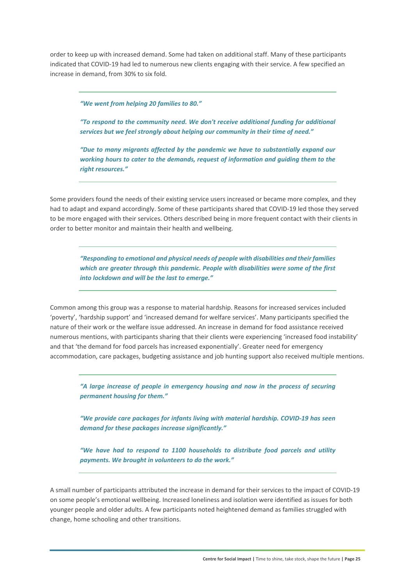order to keep up with increased demand. Some had taken on additional staff. Many of these participants indicated that COVID‐19 had led to numerous new clients engaging with their service. A few specified an increase in demand, from 30% to six fold.

*"We went from helping 20 families to 80."* 

*"To respond to the community need. We don't receive additional funding for additional services but we feel strongly about helping our community in their time of need."* 

*"Due to many migrants affected by the pandemic we have to substantially expand our working hours to cater to the demands, request of information and guiding them to the right resources."* 

Some providers found the needs of their existing service users increased or became more complex, and they had to adapt and expand accordingly. Some of these participants shared that COVID-19 led those they served to be more engaged with their services. Others described being in more frequent contact with their clients in order to better monitor and maintain their health and wellbeing.

*"Responding to emotional and physical needs of people with disabilities and their families which are greater through this pandemic. People with disabilities were some of the first into lockdown and will be the last to emerge."* 

Common among this group was a response to material hardship. Reasons for increased services included 'poverty', 'hardship support' and 'increased demand for welfare services'. Many participants specified the nature of their work or the welfare issue addressed. An increase in demand for food assistance received numerous mentions, with participants sharing that their clients were experiencing 'increased food instability' and that 'the demand for food parcels has increased exponentially'. Greater need for emergency accommodation, care packages, budgeting assistance and job hunting support also received multiple mentions.

*"A large increase of people in emergency housing and now in the process of securing permanent housing for them."* 

*"We provide care packages for infants living with material hardship. COVID‐19 has seen demand for these packages increase significantly."* 

*"We have had to respond to 1100 households to distribute food parcels and utility payments. We brought in volunteers to do the work."* 

A small number of participants attributed the increase in demand for their services to the impact of COVID‐19 on some people's emotional wellbeing. Increased loneliness and isolation were identified as issues for both younger people and older adults. A few participants noted heightened demand as families struggled with change, home schooling and other transitions.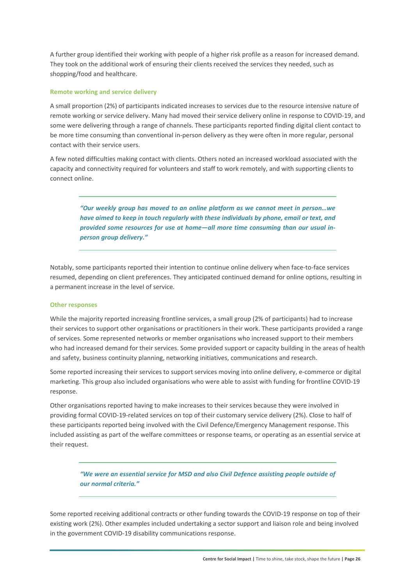A further group identified their working with people of a higher risk profile as a reason for increased demand. They took on the additional work of ensuring their clients received the services they needed, such as shopping/food and healthcare.

#### **Remote working and service delivery**

A small proportion (2%) of participants indicated increases to services due to the resource intensive nature of remote working or service delivery. Many had moved their service delivery online in response to COVID‐19, and some were delivering through a range of channels. These participants reported finding digital client contact to be more time consuming than conventional in-person delivery as they were often in more regular, personal contact with their service users.

A few noted difficulties making contact with clients. Others noted an increased workload associated with the capacity and connectivity required for volunteers and staff to work remotely, and with supporting clients to connect online.

*"Our weekly group has moved to an online platform as we cannot meet in person…we have aimed to keep in touch regularly with these individuals by phone, email or text, and provided some resources for use at home—all more time consuming than our usual in‐ person group delivery."* 

Notably, some participants reported their intention to continue online delivery when face‐to‐face services resumed, depending on client preferences. They anticipated continued demand for online options, resulting in a permanent increase in the level of service.

#### **Other responses**

While the majority reported increasing frontline services, a small group (2% of participants) had to increase their services to support other organisations or practitioners in their work. These participants provided a range of services. Some represented networks or member organisations who increased support to their members who had increased demand for their services. Some provided support or capacity building in the areas of health and safety, business continuity planning, networking initiatives, communications and research.

Some reported increasing their services to support services moving into online delivery, e‐commerce or digital marketing. This group also included organisations who were able to assist with funding for frontline COVID‐19 response.

Other organisations reported having to make increases to their services because they were involved in providing formal COVID‐19‐related services on top of their customary service delivery (2%). Close to half of these participants reported being involved with the Civil Defence/Emergency Management response. This included assisting as part of the welfare committees or response teams, or operating as an essential service at their request.

*"We were an essential service for MSD and also Civil Defence assisting people outside of our normal criteria."* 

Some reported receiving additional contracts or other funding towards the COVID‐19 response on top of their existing work (2%). Other examples included undertaking a sector support and liaison role and being involved in the government COVID‐19 disability communications response.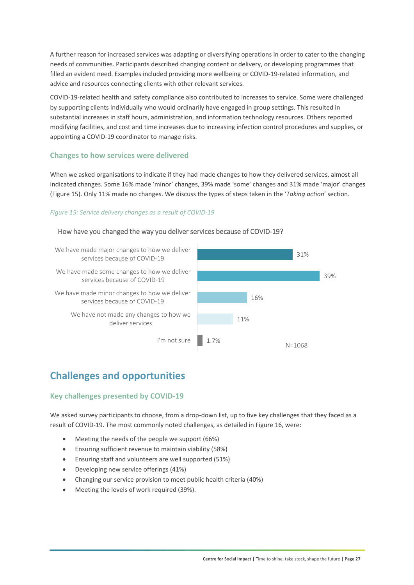A further reason for increased services was adapting or diversifying operations in order to cater to the changing needs of communities. Participants described changing content or delivery, or developing programmes that filled an evident need. Examples included providing more wellbeing or COVID-19-related information, and advice and resources connecting clients with other relevant services.

COVID‐19‐related health and safety compliance also contributed to increases to service. Some were challenged by supporting clients individually who would ordinarily have engaged in group settings. This resulted in substantial increases in staff hours, administration, and information technology resources. Others reported modifying facilities, and cost and time increases due to increasing infection control procedures and supplies, or appointing a COVID‐19 coordinator to manage risks.

#### **Changes to how services were delivered**

When we asked organisations to indicate if they had made changes to how they delivered services, almost all indicated changes. Some 16% made 'minor' changes, 39% made 'some' changes and 31% made 'major' changes (Figure 15). Only 11% made no changes. We discuss the types of steps taken in the '*Taking action*' section.

#### *Figure 15: Service delivery changes as a result of COVID‐19*

#### How have you changed the way you deliver services because of COVID‐19?



## **Challenges and opportunities**

#### **Key challenges presented by COVID‐19**

We asked survey participants to choose, from a drop-down list, up to five key challenges that they faced as a result of COVID‐19. The most commonly noted challenges, as detailed in Figure 16, were:

- Meeting the needs of the people we support (66%)
- Ensuring sufficient revenue to maintain viability (58%)
- Ensuring staff and volunteers are well supported (51%)
- Developing new service offerings (41%)
- Changing our service provision to meet public health criteria (40%)
- Meeting the levels of work required (39%).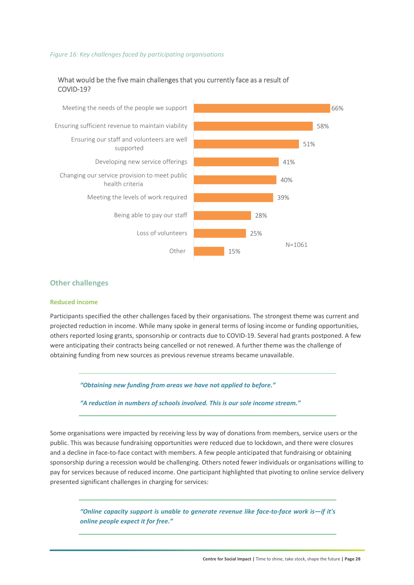#### *Figure 16: Key challenges faced by participating organisations*

#### What would be the five main challenges that you currently face as a result of COVID‐19?



#### **Other challenges**

#### **Reduced income**

Participants specified the other challenges faced by their organisations. The strongest theme was current and projected reduction in income. While many spoke in general terms of losing income or funding opportunities, others reported losing grants, sponsorship or contracts due to COVID‐19. Several had grants postponed. A few were anticipating their contracts being cancelled or not renewed. A further theme was the challenge of obtaining funding from new sources as previous revenue streams became unavailable.

*"Obtaining new funding from areas we have not applied to before."* 

*"A reduction in numbers of schools involved. This is our sole income stream."* 

Some organisations were impacted by receiving less by way of donations from members, service users or the public. This was because fundraising opportunities were reduced due to lockdown, and there were closures and a decline in face-to-face contact with members. A few people anticipated that fundraising or obtaining sponsorship during a recession would be challenging. Others noted fewer individuals or organisations willing to pay for services because of reduced income. One participant highlighted that pivoting to online service delivery presented significant challenges in charging for services:

*"Online capacity support is unable to generate revenue like face‐to‐face work is—if it's online people expect it for free."*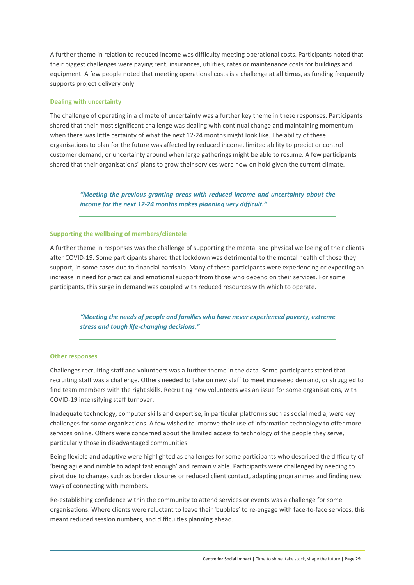A further theme in relation to reduced income was difficulty meeting operational costs. Participants noted that their biggest challenges were paying rent, insurances, utilities, rates or maintenance costs for buildings and equipment. A few people noted that meeting operational costs is a challenge at **all times**, as funding frequently supports project delivery only.

#### **Dealing with uncertainty**

The challenge of operating in a climate of uncertainty was a further key theme in these responses. Participants shared that their most significant challenge was dealing with continual change and maintaining momentum when there was little certainty of what the next 12-24 months might look like. The ability of these organisations to plan for the future was affected by reduced income, limited ability to predict or control customer demand, or uncertainty around when large gatherings might be able to resume. A few participants shared that their organisations' plans to grow their services were now on hold given the current climate.

*"Meeting the previous granting areas with reduced income and uncertainty about the income for the next 12‐24 months makes planning very difficult."* 

#### **Supporting the wellbeing of members/clientele**

A further theme in responses was the challenge of supporting the mental and physical wellbeing of their clients after COVID‐19. Some participants shared that lockdown was detrimental to the mental health of those they support, in some cases due to financial hardship. Many of these participants were experiencing or expecting an increase in need for practical and emotional support from those who depend on their services. For some participants, this surge in demand was coupled with reduced resources with which to operate.

*"Meeting the needs of people and families who have never experienced poverty, extreme stress and tough life‐changing decisions."* 

#### **Other responses**

Challenges recruiting staff and volunteers was a further theme in the data. Some participants stated that recruiting staff was a challenge. Others needed to take on new staff to meet increased demand, or struggled to find team members with the right skills. Recruiting new volunteers was an issue for some organisations, with COVID‐19 intensifying staff turnover.

Inadequate technology, computer skills and expertise, in particular platforms such as social media, were key challenges for some organisations. A few wished to improve their use of information technology to offer more services online. Others were concerned about the limited access to technology of the people they serve, particularly those in disadvantaged communities.

Being flexible and adaptive were highlighted as challenges for some participants who described the difficulty of 'being agile and nimble to adapt fast enough' and remain viable. Participants were challenged by needing to pivot due to changes such as border closures or reduced client contact, adapting programmes and finding new ways of connecting with members.

Re-establishing confidence within the community to attend services or events was a challenge for some organisations. Where clients were reluctant to leave their 'bubbles' to re‐engage with face‐to‐face services, this meant reduced session numbers, and difficulties planning ahead.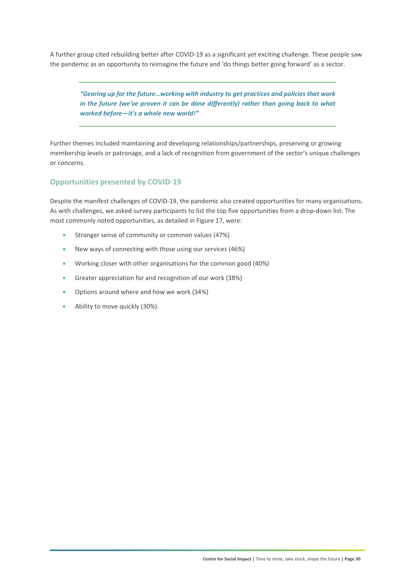A further group cited rebuilding better after COVID‐19 as a significant yet exciting challenge. These people saw the pandemic as an opportunity to reimagine the future and 'do things better going forward' as a sector.

*"Gearing up for the future…working with industry to get practices and policies that work in the future (we've proven it can be done differently) rather than going back to what worked before—it's a whole new world!"* 

Further themes included maintaining and developing relationships/partnerships, preserving or growing membership levels or patronage, and a lack of recognition from government of the sector's unique challenges or concerns.

#### **Opportunities presented by COVID‐19**

Despite the manifest challenges of COVID‐19, the pandemic also created opportunities for many organisations. As with challenges, we asked survey participants to list the top five opportunities from a drop‐down list. The most commonly noted opportunities, as detailed in Figure 17, were:

- Stronger sense of community or common values (47%)
- New ways of connecting with those using our services (46%)
- Working closer with other organisations for the common good (40%)
- Greater appreciation for and recognition of our work (38%)
- Options around where and how we work (34%)
- Ability to move quickly (30%).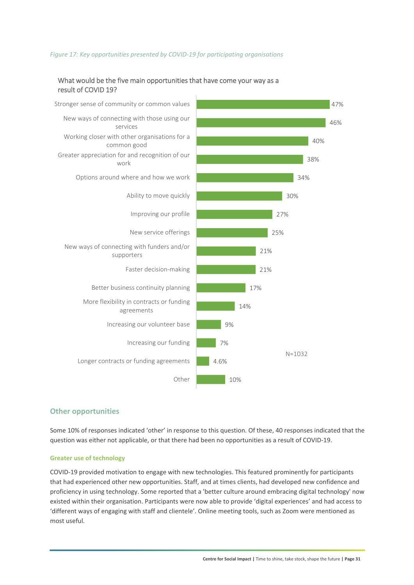#### *Figure 17: Key opportunities presented by COVID‐19 for participating organisations*

#### What would be the five main opportunities that have come your way as a result of COVID 19?



#### **Other opportunities**

Some 10% of responses indicated 'other' in response to this question. Of these, 40 responses indicated that the question was either not applicable, or that there had been no opportunities as a result of COVID‐19.

#### **Greater use of technology**

COVID‐19 provided motivation to engage with new technologies. This featured prominently for participants that had experienced other new opportunities. Staff, and at times clients, had developed new confidence and proficiency in using technology. Some reported that a 'better culture around embracing digital technology' now existed within their organisation. Participants were now able to provide 'digital experiences' and had access to 'different ways of engaging with staff and clientele'. Online meeting tools, such as Zoom were mentioned as most useful.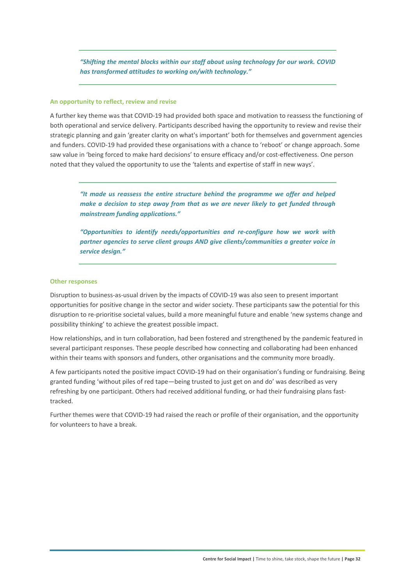*"Shifting the mental blocks within our staff about using technology for our work. COVID has transformed attitudes to working on/with technology."* 

#### **An opportunity to reflect, review and revise**

A further key theme was that COVID‐19 had provided both space and motivation to reassess the functioning of both operational and service delivery. Participants described having the opportunity to review and revise their strategic planning and gain 'greater clarity on what's important' both for themselves and government agencies and funders. COVID‐19 had provided these organisations with a chance to 'reboot' or change approach. Some saw value in 'being forced to make hard decisions' to ensure efficacy and/or cost-effectiveness. One person noted that they valued the opportunity to use the 'talents and expertise of staff in new ways'.

*"It made us reassess the entire structure behind the programme we offer and helped make a decision to step away from that as we are never likely to get funded through mainstream funding applications."* 

*"Opportunities to identify needs/opportunities and re‐configure how we work with partner agencies to serve client groups AND give clients/communities a greater voice in service design."* 

#### **Other responses**

Disruption to business‐as‐usual driven by the impacts of COVID‐19 was also seen to present important opportunities for positive change in the sector and wider society. These participants saw the potential for this disruption to re‐prioritise societal values, build a more meaningful future and enable 'new systems change and possibility thinking' to achieve the greatest possible impact.

How relationships, and in turn collaboration, had been fostered and strengthened by the pandemic featured in several participant responses. These people described how connecting and collaborating had been enhanced within their teams with sponsors and funders, other organisations and the community more broadly.

A few participants noted the positive impact COVID‐19 had on their organisation's funding or fundraising. Being granted funding 'without piles of red tape—being trusted to just get on and do' was described as very refreshing by one participant. Others had received additional funding, or had their fundraising plans fasttracked.

Further themes were that COVID‐19 had raised the reach or profile of their organisation, and the opportunity for volunteers to have a break.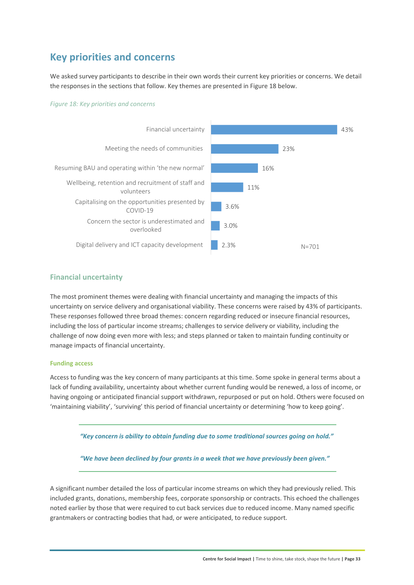### **Key priorities and concerns**

We asked survey participants to describe in their own words their current key priorities or concerns. We detail the responses in the sections that follow. Key themes are presented in Figure 18 below.

#### *Figure 18: Key priorities and concerns*



#### **Financial uncertainty**

The most prominent themes were dealing with financial uncertainty and managing the impacts of this uncertainty on service delivery and organisational viability. These concerns were raised by 43% of participants. These responses followed three broad themes: concern regarding reduced or insecure financial resources, including the loss of particular income streams; challenges to service delivery or viability, including the challenge of now doing even more with less; and steps planned or taken to maintain funding continuity or manage impacts of financial uncertainty.

#### **Funding access**

Access to funding was the key concern of many participants at this time. Some spoke in general terms about a lack of funding availability, uncertainty about whether current funding would be renewed, a loss of income, or having ongoing or anticipated financial support withdrawn, repurposed or put on hold. Others were focused on 'maintaining viability', 'surviving' this period of financial uncertainty or determining 'how to keep going'.

*"Key concern is ability to obtain funding due to some traditional sources going on hold."* 

*"We have been declined by four grants in a week that we have previously been given."* 

A significant number detailed the loss of particular income streams on which they had previously relied. This included grants, donations, membership fees, corporate sponsorship or contracts. This echoed the challenges noted earlier by those that were required to cut back services due to reduced income. Many named specific grantmakers or contracting bodies that had, or were anticipated, to reduce support.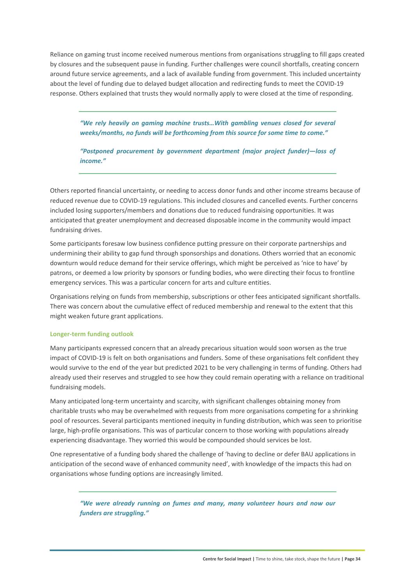Reliance on gaming trust income received numerous mentions from organisations struggling to fill gaps created by closures and the subsequent pause in funding. Further challenges were council shortfalls, creating concern around future service agreements, and a lack of available funding from government. This included uncertainty about the level of funding due to delayed budget allocation and redirecting funds to meet the COVID‐19 response. Others explained that trusts they would normally apply to were closed at the time of responding.

*"We rely heavily on gaming machine trusts…With gambling venues closed for several weeks/months, no funds will be forthcoming from this source for some time to come."* 

*"Postponed procurement by government department (major project funder)—loss of income."* 

Others reported financial uncertainty, or needing to access donor funds and other income streams because of reduced revenue due to COVID‐19 regulations. This included closures and cancelled events. Further concerns included losing supporters/members and donations due to reduced fundraising opportunities. It was anticipated that greater unemployment and decreased disposable income in the community would impact fundraising drives.

Some participants foresaw low business confidence putting pressure on their corporate partnerships and undermining their ability to gap fund through sponsorships and donations. Others worried that an economic downturn would reduce demand for their service offerings, which might be perceived as 'nice to have' by patrons, or deemed a low priority by sponsors or funding bodies, who were directing their focus to frontline emergency services. This was a particular concern for arts and culture entities.

Organisations relying on funds from membership, subscriptions or other fees anticipated significant shortfalls. There was concern about the cumulative effect of reduced membership and renewal to the extent that this might weaken future grant applications.

#### **Longer‐term funding outlook**

Many participants expressed concern that an already precarious situation would soon worsen as the true impact of COVID‐19 is felt on both organisations and funders. Some of these organisations felt confident they would survive to the end of the year but predicted 2021 to be very challenging in terms of funding. Others had already used their reserves and struggled to see how they could remain operating with a reliance on traditional fundraising models.

Many anticipated long‐term uncertainty and scarcity, with significant challenges obtaining money from charitable trusts who may be overwhelmed with requests from more organisations competing for a shrinking pool of resources. Several participants mentioned inequity in funding distribution, which was seen to prioritise large, high-profile organisations. This was of particular concern to those working with populations already experiencing disadvantage. They worried this would be compounded should services be lost.

One representative of a funding body shared the challenge of 'having to decline or defer BAU applications in anticipation of the second wave of enhanced community need', with knowledge of the impacts this had on organisations whose funding options are increasingly limited.

*"We were already running on fumes and many, many volunteer hours and now our funders are struggling."*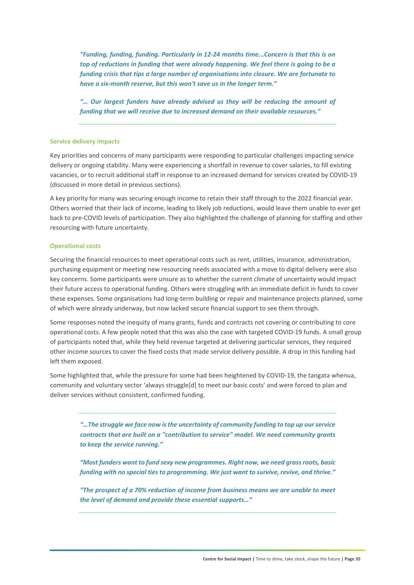*"Funding, funding, funding. Particularly in 12‐24 months time...Concern is that this is on top of reductions in funding that were already happening. We feel there is going to be a funding crisis that tips a large number of organisations into closure. We are fortunate to have a six‐month reserve, but this won't save us in the longer term."* 

*"… Our largest funders have already advised us they will be reducing the amount of funding that we will receive due to increased demand on their available resources."* 

#### **Service delivery impacts**

Key priorities and concerns of many participants were responding to particular challenges impacting service delivery or ongoing stability. Many were experiencing a shortfall in revenue to cover salaries, to fill existing vacancies, or to recruit additional staff in response to an increased demand for services created by COVID‐19 (discussed in more detail in previous sections).

A key priority for many was securing enough income to retain their staff through to the 2022 financial year. Others worried that their lack of income, leading to likely job reductions, would leave them unable to ever get back to pre‐COVID levels of participation. They also highlighted the challenge of planning for staffing and other resourcing with future uncertainty.

#### **Operational costs**

Securing the financial resources to meet operational costs such as rent, utilities, insurance, administration, purchasing equipment or meeting new resourcing needs associated with a move to digital delivery were also key concerns. Some participants were unsure as to whether the current climate of uncertainty would impact their future access to operational funding. Others were struggling with an immediate deficit in funds to cover these expenses. Some organisations had long-term building or repair and maintenance projects planned, some of which were already underway, but now lacked secure financial support to see them through.

Some responses noted the inequity of many grants, funds and contracts not covering or contributing to core operational costs. A few people noted that this was also the case with targeted COVID‐19 funds. A small group of participants noted that, while they held revenue targeted at delivering particular services, they required other income sources to cover the fixed costs that made service delivery possible. A drop in this funding had left them exposed.

Some highlighted that, while the pressure for some had been heightened by COVID‐19, the tangata whenua, community and voluntary sector 'always struggle[d] to meet our basic costs' and were forced to plan and deliver services without consistent, confirmed funding.

*"…The struggle we face now is the uncertainty of community funding to top up our service contracts that are built on a "contribution to service" model. We need community grants to keep the service running."* 

*"Most funders want to fund sexy new programmes. Right now, we need grass roots, basic funding with no special ties to programming. We just want to survive, revive, and thrive."* 

*"The prospect of a 70% reduction of income from business means we are unable to meet the level of demand and provide these essential supports…"*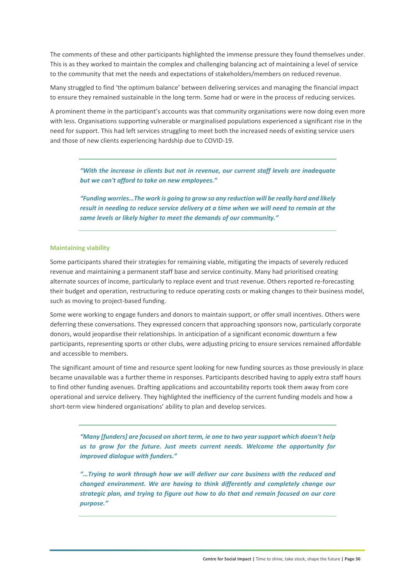The comments of these and other participants highlighted the immense pressure they found themselves under. This is as they worked to maintain the complex and challenging balancing act of maintaining a level of service to the community that met the needs and expectations of stakeholders/members on reduced revenue.

Many struggled to find 'the optimum balance' between delivering services and managing the financial impact to ensure they remained sustainable in the long term. Some had or were in the process of reducing services.

A prominent theme in the participant's accounts was that community organisations were now doing even more with less. Organisations supporting vulnerable or marginalised populations experienced a significant rise in the need for support. This had left services struggling to meet both the increased needs of existing service users and those of new clients experiencing hardship due to COVID‐19.

*"With the increase in clients but not in revenue, our current staff levels are inadequate but we can't afford to take on new employees."* 

*"Funding worries…The work is going to grow so any reduction will be really hard and likely result in needing to reduce service delivery at a time when we will need to remain at the same levels or likely higher to meet the demands of our community."* 

#### **Maintaining viability**

Some participants shared their strategies for remaining viable, mitigating the impacts of severely reduced revenue and maintaining a permanent staff base and service continuity. Many had prioritised creating alternate sources of income, particularly to replace event and trust revenue. Others reported re‐forecasting their budget and operation, restructuring to reduce operating costs or making changes to their business model, such as moving to project-based funding.

Some were working to engage funders and donors to maintain support, or offer small incentives. Others were deferring these conversations. They expressed concern that approaching sponsors now, particularly corporate donors, would jeopardise their relationships. In anticipation of a significant economic downturn a few participants, representing sports or other clubs, were adjusting pricing to ensure services remained affordable and accessible to members.

The significant amount of time and resource spent looking for new funding sources as those previously in place became unavailable was a further theme in responses. Participants described having to apply extra staff hours to find other funding avenues. Drafting applications and accountability reports took them away from core operational and service delivery. They highlighted the inefficiency of the current funding models and how a short-term view hindered organisations' ability to plan and develop services.

*"Many [funders] are focused on short term, ie one to two year support which doesn't help us to grow for the future. Just meets current needs. Welcome the opportunity for improved dialogue with funders."* 

*"…Trying to work through how we will deliver our core business with the reduced and changed environment. We are having to think differently and completely change our strategic plan, and trying to figure out how to do that and remain focused on our core purpose."*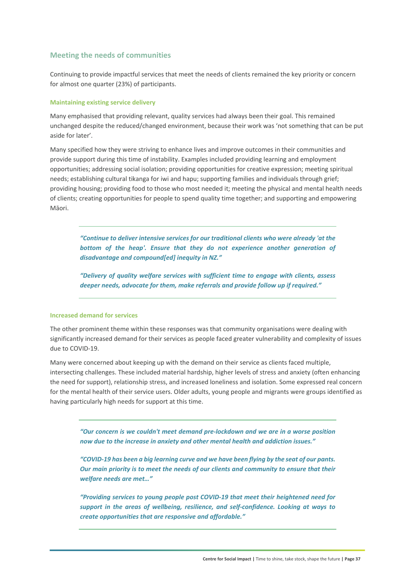#### **Meeting the needs of communities**

Continuing to provide impactful services that meet the needs of clients remained the key priority or concern for almost one quarter (23%) of participants.

#### **Maintaining existing service delivery**

Many emphasised that providing relevant, quality services had always been their goal. This remained unchanged despite the reduced/changed environment, because their work was 'not something that can be put aside for later'.

Many specified how they were striving to enhance lives and improve outcomes in their communities and provide support during this time of instability. Examples included providing learning and employment opportunities; addressing social isolation; providing opportunities for creative expression; meeting spiritual needs; establishing cultural tikanga for iwi and hapu; supporting families and individuals through grief; providing housing; providing food to those who most needed it; meeting the physical and mental health needs of clients; creating opportunities for people to spend quality time together; and supporting and empowering Māori.

*"Continue to deliver intensive services for our traditional clients who were already 'at the bottom of the heap'. Ensure that they do not experience another generation of disadvantage and compound[ed] inequity in NZ."* 

*"Delivery of quality welfare services with sufficient time to engage with clients, assess deeper needs, advocate for them, make referrals and provide follow up if required."* 

#### **Increased demand for services**

The other prominent theme within these responses was that community organisations were dealing with significantly increased demand for their services as people faced greater vulnerability and complexity of issues due to COVID‐19.

Many were concerned about keeping up with the demand on their service as clients faced multiple, intersecting challenges. These included material hardship, higher levels of stress and anxiety (often enhancing the need for support), relationship stress, and increased loneliness and isolation. Some expressed real concern for the mental health of their service users. Older adults, young people and migrants were groups identified as having particularly high needs for support at this time.

*"Our concern is we couldn't meet demand pre‐lockdown and we are in a worse position now due to the increase in anxiety and other mental health and addiction issues."* 

*"COVID‐19 has been a big learning curve and we have been flying by the seat of our pants. Our main priority is to meet the needs of our clients and community to ensure that their welfare needs are met…"* 

*"Providing services to young people post COVID‐19 that meet their heightened need for support in the areas of wellbeing, resilience, and self‐confidence. Looking at ways to create opportunities that are responsive and affordable."*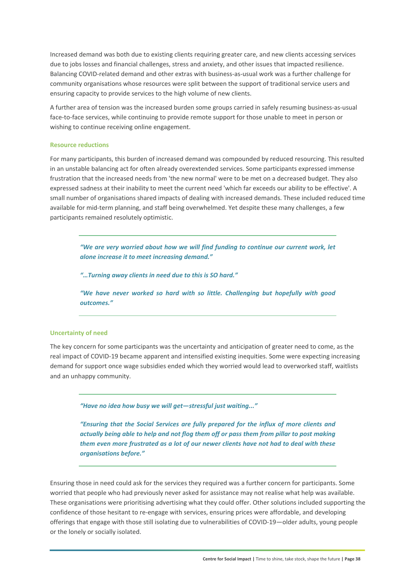Increased demand was both due to existing clients requiring greater care, and new clients accessing services due to jobs losses and financial challenges, stress and anxiety, and other issues that impacted resilience. Balancing COVID‐related demand and other extras with business‐as‐usual work was a further challenge for community organisations whose resources were split between the support of traditional service users and ensuring capacity to provide services to the high volume of new clients.

A further area of tension was the increased burden some groups carried in safely resuming business‐as‐usual face-to-face services, while continuing to provide remote support for those unable to meet in person or wishing to continue receiving online engagement.

#### **Resource reductions**

For many participants, this burden of increased demand was compounded by reduced resourcing. This resulted in an unstable balancing act for often already overextended services. Some participants expressed immense frustration that the increased needs from 'the new normal' were to be met on a decreased budget. They also expressed sadness at their inability to meet the current need 'which far exceeds our ability to be effective'. A small number of organisations shared impacts of dealing with increased demands. These included reduced time available for mid-term planning, and staff being overwhelmed. Yet despite these many challenges, a few participants remained resolutely optimistic.

*"We are very worried about how we will find funding to continue our current work, let alone increase it to meet increasing demand."* 

*"…Turning away clients in need due to this is SO hard."* 

*"We have never worked so hard with so little. Challenging but hopefully with good outcomes."* 

#### **Uncertainty of need**

The key concern for some participants was the uncertainty and anticipation of greater need to come, as the real impact of COVID‐19 became apparent and intensified existing inequities. Some were expecting increasing demand for support once wage subsidies ended which they worried would lead to overworked staff, waitlists and an unhappy community.

*"Have no idea how busy we will get—stressful just waiting..."* 

*"Ensuring that the Social Services are fully prepared for the influx of more clients and actually being able to help and not flog them off or pass them from pillar to post making them even more frustrated as a lot of our newer clients have not had to deal with these organisations before."* 

Ensuring those in need could ask for the services they required was a further concern for participants. Some worried that people who had previously never asked for assistance may not realise what help was available. These organisations were prioritising advertising what they could offer. Other solutions included supporting the confidence of those hesitant to re-engage with services, ensuring prices were affordable, and developing offerings that engage with those still isolating due to vulnerabilities of COVID‐19—older adults, young people or the lonely or socially isolated.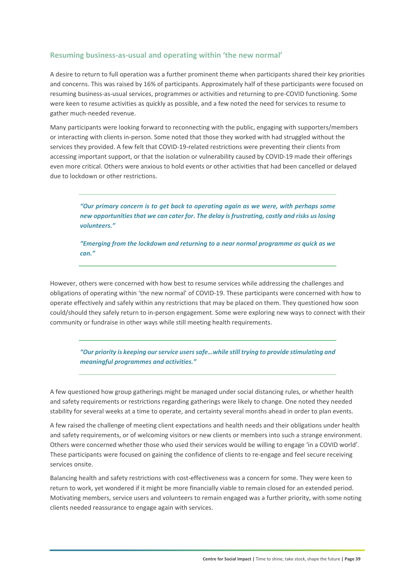#### **Resuming business‐as‐usual and operating within 'the new normal'**

A desire to return to full operation was a further prominent theme when participants shared their key priorities and concerns. This was raised by 16% of participants. Approximately half of these participants were focused on resuming business‐as‐usual services, programmes or activities and returning to pre‐COVID functioning. Some were keen to resume activities as quickly as possible, and a few noted the need for services to resume to gather much‐needed revenue.

Many participants were looking forward to reconnecting with the public, engaging with supporters/members or interacting with clients in‐person. Some noted that those they worked with had struggled without the services they provided. A few felt that COVID-19-related restrictions were preventing their clients from accessing important support, or that the isolation or vulnerability caused by COVID‐19 made their offerings even more critical. Others were anxious to hold events or other activities that had been cancelled or delayed due to lockdown or other restrictions.

*"Our primary concern is to get back to operating again as we were, with perhaps some new opportunities that we can cater for. The delay is frustrating, costly and risks us losing volunteers."* 

*"Emerging from the lockdown and returning to a near normal programme as quick as we can."* 

However, others were concerned with how best to resume services while addressing the challenges and obligations of operating within 'the new normal' of COVID‐19. These participants were concerned with how to operate effectively and safely within any restrictions that may be placed on them. They questioned how soon could/should they safely return to in‐person engagement. Some were exploring new ways to connect with their community or fundraise in other ways while still meeting health requirements.

*"Our priority is keeping our service users safe…while still trying to provide stimulating and meaningful programmes and activities."* 

A few questioned how group gatherings might be managed under social distancing rules, or whether health and safety requirements or restrictions regarding gatherings were likely to change. One noted they needed stability for several weeks at a time to operate, and certainty several months ahead in order to plan events.

A few raised the challenge of meeting client expectations and health needs and their obligations under health and safety requirements, or of welcoming visitors or new clients or members into such a strange environment. Others were concerned whether those who used their services would be willing to engage 'in a COVID world'. These participants were focused on gaining the confidence of clients to re-engage and feel secure receiving services onsite.

Balancing health and safety restrictions with cost-effectiveness was a concern for some. They were keen to return to work, yet wondered if it might be more financially viable to remain closed for an extended period. Motivating members, service users and volunteers to remain engaged was a further priority, with some noting clients needed reassurance to engage again with services.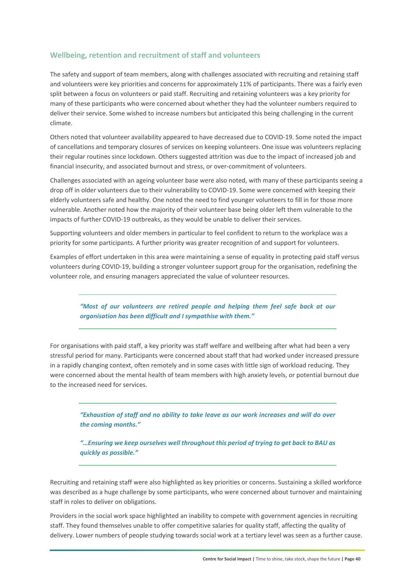#### **Wellbeing, retention and recruitment of staff and volunteers**

The safety and support of team members, along with challenges associated with recruiting and retaining staff and volunteers were key priorities and concerns for approximately 11% of participants. There was a fairly even split between a focus on volunteers or paid staff. Recruiting and retaining volunteers was a key priority for many of these participants who were concerned about whether they had the volunteer numbers required to deliver their service. Some wished to increase numbers but anticipated this being challenging in the current climate.

Others noted that volunteer availability appeared to have decreased due to COVID‐19. Some noted the impact of cancellations and temporary closures of services on keeping volunteers. One issue was volunteers replacing their regular routines since lockdown. Others suggested attrition was due to the impact of increased job and financial insecurity, and associated burnout and stress, or over-commitment of volunteers.

Challenges associated with an ageing volunteer base were also noted, with many of these participants seeing a drop off in older volunteers due to their vulnerability to COVID‐19. Some were concerned with keeping their elderly volunteers safe and healthy. One noted the need to find younger volunteers to fill in for those more vulnerable. Another noted how the majority of their volunteer base being older left them vulnerable to the impacts of further COVID‐19 outbreaks, as they would be unable to deliver their services.

Supporting volunteers and older members in particular to feel confident to return to the workplace was a priority for some participants. A further priority was greater recognition of and support for volunteers.

Examples of effort undertaken in this area were maintaining a sense of equality in protecting paid staff versus volunteers during COVID‐19, building a stronger volunteer support group for the organisation, redefining the volunteer role, and ensuring managers appreciated the value of volunteer resources.

*"Most of our volunteers are retired people and helping them feel safe back at our organisation has been difficult and I sympathise with them."* 

For organisations with paid staff, a key priority was staff welfare and wellbeing after what had been a very stressful period for many. Participants were concerned about staff that had worked under increased pressure in a rapidly changing context, often remotely and in some cases with little sign of workload reducing. They were concerned about the mental health of team members with high anxiety levels, or potential burnout due to the increased need for services.

*"Exhaustion of staff and no ability to take leave as our work increases and will do over the coming months."* 

*"…Ensuring we keep ourselves well throughout this period of trying to get back to BAU as quickly as possible."* 

Recruiting and retaining staff were also highlighted as key priorities or concerns. Sustaining a skilled workforce was described as a huge challenge by some participants, who were concerned about turnover and maintaining staff in roles to deliver on obligations.

Providers in the social work space highlighted an inability to compete with government agencies in recruiting staff. They found themselves unable to offer competitive salaries for quality staff, affecting the quality of delivery. Lower numbers of people studying towards social work at a tertiary level was seen as a further cause.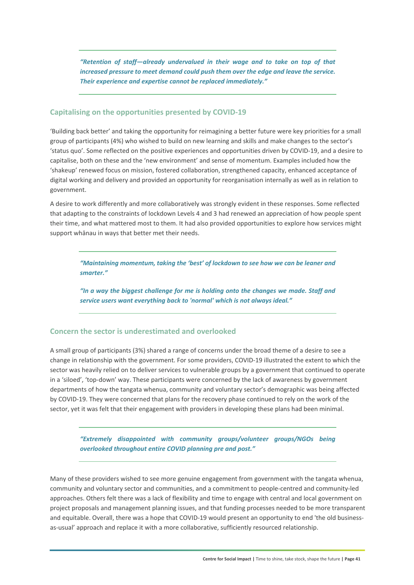*"Retention of staff—already undervalued in their wage and to take on top of that increased pressure to meet demand could push them over the edge and leave the service. Their experience and expertise cannot be replaced immediately."*

#### **Capitalising on the opportunities presented by COVID‐19**

'Building back better' and taking the opportunity for reimagining a better future were key priorities for a small group of participants (4%) who wished to build on new learning and skills and make changes to the sector's 'status quo'. Some reflected on the positive experiences and opportunities driven by COVID‐19, and a desire to capitalise, both on these and the 'new environment' and sense of momentum. Examples included how the 'shakeup' renewed focus on mission, fostered collaboration, strengthened capacity, enhanced acceptance of digital working and delivery and provided an opportunity for reorganisation internally as well as in relation to government.

A desire to work differently and more collaboratively was strongly evident in these responses. Some reflected that adapting to the constraints of lockdown Levels 4 and 3 had renewed an appreciation of how people spent their time, and what mattered most to them. It had also provided opportunities to explore how services might support whānau in ways that better met their needs.

*"Maintaining momentum, taking the 'best' of lockdown to see how we can be leaner and smarter."* 

*"In a way the biggest challenge for me is holding onto the changes we made. Staff and service users want everything back to 'normal' which is not always ideal."* 

#### **Concern the sector is underestimated and overlooked**

A small group of participants (3%) shared a range of concerns under the broad theme of a desire to see a change in relationship with the government. For some providers, COVID‐19 illustrated the extent to which the sector was heavily relied on to deliver services to vulnerable groups by a government that continued to operate in a 'siloed', 'top‐down' way. These participants were concerned by the lack of awareness by government departments of how the tangata whenua, community and voluntary sector's demographic was being affected by COVID‐19. They were concerned that plans for the recovery phase continued to rely on the work of the sector, yet it was felt that their engagement with providers in developing these plans had been minimal.

*"Extremely disappointed with community groups/volunteer groups/NGOs being overlooked throughout entire COVID planning pre and post."* 

Many of these providers wished to see more genuine engagement from government with the tangata whenua, community and voluntary sector and communities, and a commitment to people-centred and community-led approaches. Others felt there was a lack of flexibility and time to engage with central and local government on project proposals and management planning issues, and that funding processes needed to be more transparent and equitable. Overall, there was a hope that COVID-19 would present an opportunity to end 'the old businessas-usual' approach and replace it with a more collaborative, sufficiently resourced relationship.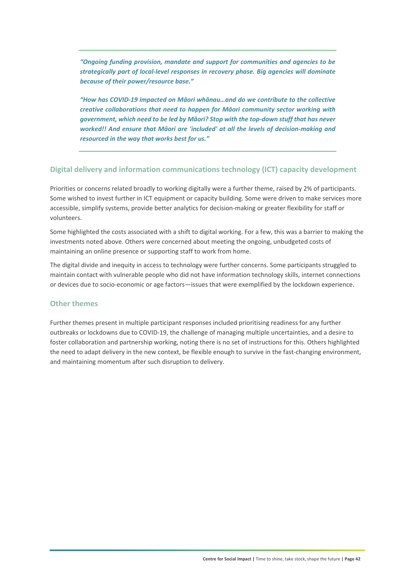*"Ongoing funding provision, mandate and support for communities and agencies to be strategically part of local‐level responses in recovery phase. Big agencies will dominate because of their power/resource base."* 

*"How has COVID‐19 impacted on Māori whānau…and do we contribute to the collective creative collaborations that need to happen for Māori community sector working with government, which need to be led by Māori? Stop with the top‐down stuff that has never worked!! And ensure that Māori are 'included' at all the levels of decision‐making and resourced in the way that works best for us."* 

#### **Digital delivery and information communications technology (ICT) capacity development**

Priorities or concerns related broadly to working digitally were a further theme, raised by 2% of participants. Some wished to invest further in ICT equipment or capacity building. Some were driven to make services more accessible, simplify systems, provide better analytics for decision‐making or greater flexibility for staff or volunteers.

Some highlighted the costs associated with a shift to digital working. For a few, this was a barrier to making the investments noted above. Others were concerned about meeting the ongoing, unbudgeted costs of maintaining an online presence or supporting staff to work from home.

The digital divide and inequity in access to technology were further concerns. Some participants struggled to maintain contact with vulnerable people who did not have information technology skills, internet connections or devices due to socio‐economic or age factors—issues that were exemplified by the lockdown experience.

#### **Other themes**

Further themes present in multiple participant responses included prioritising readiness for any further outbreaks or lockdowns due to COVID‐19, the challenge of managing multiple uncertainties, and a desire to foster collaboration and partnership working, noting there is no set of instructions for this. Others highlighted the need to adapt delivery in the new context, be flexible enough to survive in the fast-changing environment, and maintaining momentum after such disruption to delivery.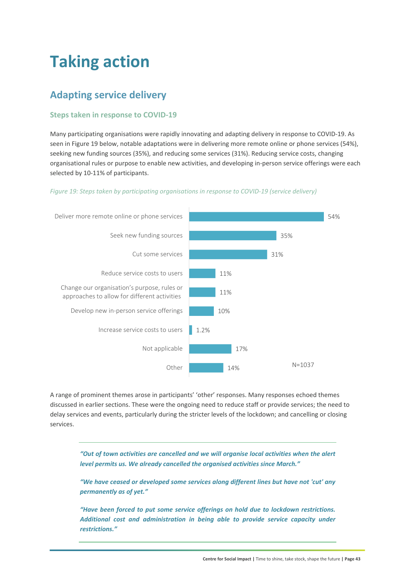## **Taking action**

### **Adapting service delivery**

#### **Steps taken in response to COVID‐19**

Many participating organisations were rapidly innovating and adapting delivery in response to COVID‐19. As seen in Figure 19 below, notable adaptations were in delivering more remote online or phone services (54%), seeking new funding sources (35%), and reducing some services (31%). Reducing service costs, changing organisational rules or purpose to enable new activities, and developing in‐person service offerings were each selected by 10-11% of participants.

#### *Figure 19: Steps taken by participating organisations in response to COVID‐19 (service delivery)*



A range of prominent themes arose in participants' 'other' responses. Many responses echoed themes discussed in earlier sections. These were the ongoing need to reduce staff or provide services; the need to delay services and events, particularly during the stricter levels of the lockdown; and cancelling or closing services.

*"Out of town activities are cancelled and we will organise local activities when the alert level permits us. We already cancelled the organised activities since March."* 

*"We have ceased or developed some services along different lines but have not 'cut' any permanently as of yet."* 

*"Have been forced to put some service offerings on hold due to lockdown restrictions. Additional cost and administration in being able to provide service capacity under restrictions."*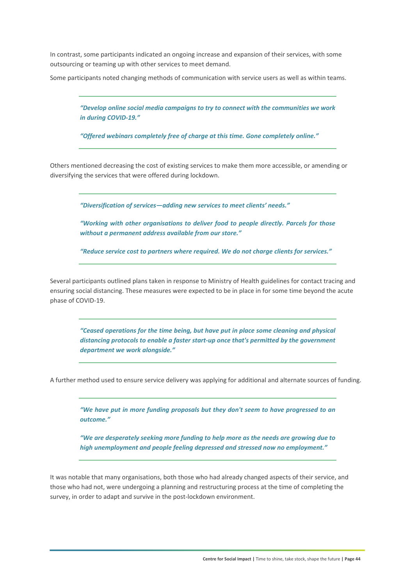In contrast, some participants indicated an ongoing increase and expansion of their services, with some outsourcing or teaming up with other services to meet demand.

Some participants noted changing methods of communication with service users as well as within teams.

*"Develop online social media campaigns to try to connect with the communities we work in during COVID‐19."* 

*"Offered webinars completely free of charge at this time. Gone completely online."* 

Others mentioned decreasing the cost of existing services to make them more accessible, or amending or diversifying the services that were offered during lockdown.

*"Diversification of services—adding new services to meet clients' needs."* 

*"Working with other organisations to deliver food to people directly. Parcels for those without a permanent address available from our store."* 

*"Reduce service cost to partners where required. We do not charge clients for services."* 

Several participants outlined plans taken in response to Ministry of Health guidelines for contact tracing and ensuring social distancing. These measures were expected to be in place in for some time beyond the acute phase of COVID‐19.

*"Ceased operations for the time being, but have put in place some cleaning and physical distancing protocols to enable a faster start‐up once that's permitted by the government department we work alongside."* 

A further method used to ensure service delivery was applying for additional and alternate sources of funding.

*"We have put in more funding proposals but they don't seem to have progressed to an outcome."* 

*"We are desperately seeking more funding to help more as the needs are growing due to high unemployment and people feeling depressed and stressed now no employment."* 

It was notable that many organisations, both those who had already changed aspects of their service, and those who had not, were undergoing a planning and restructuring process at the time of completing the survey, in order to adapt and survive in the post-lockdown environment.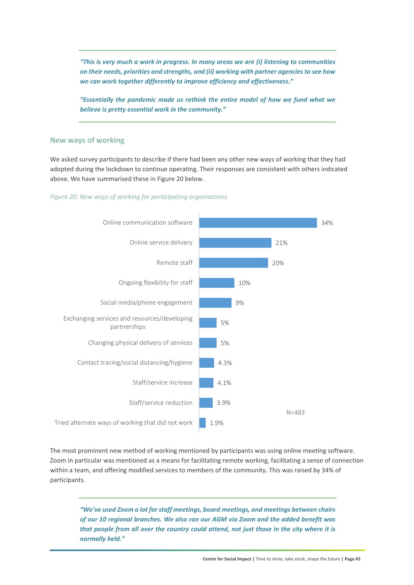*"This is very much a work in progress. In many areas we are (i) listening to communities on their needs, priorities and strengths, and (ii) working with partner agencies to see how we can work together differently to improve efficiency and effectiveness."* 

*"Essentially the pandemic made us rethink the entire model of how we fund what we believe is pretty essential work in the community."* 

#### **New ways of working**

We asked survey participants to describe if there had been any other new ways of working that they had adopted during the lockdown to continue operating. Their responses are consistent with others indicated above. We have summarised these in Figure 20 below.

#### *Figure 20: New ways of working for participating organisations*



The most prominent new method of working mentioned by participants was using online meeting software. Zoom in particular was mentioned as a means for facilitating remote working, facilitating a sense of connection within a team, and offering modified services to members of the community. This was raised by 34% of participants.

*"We've used Zoom a lot for staff meetings, board meetings, and meetings between chairs of our 10 regional branches. We also ran our AGM via Zoom and the added benefit was that people from all over the country could attend, not just those in the city where it is normally held."*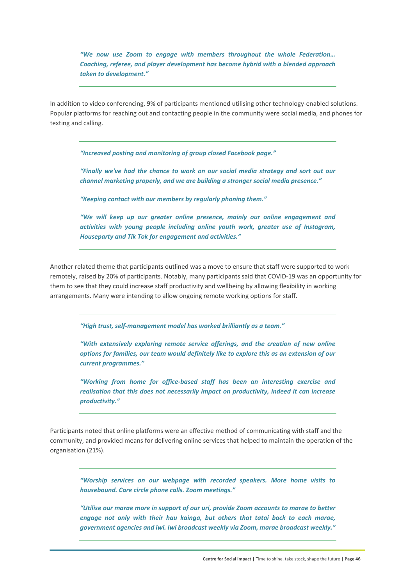*"We now use Zoom to engage with members throughout the whole Federation… Coaching, referee, and player development has become hybrid with a blended approach taken to development."* 

In addition to video conferencing, 9% of participants mentioned utilising other technology-enabled solutions. Popular platforms for reaching out and contacting people in the community were social media, and phones for texting and calling.

*"Increased posting and monitoring of group closed Facebook page."* 

*"Finally we've had the chance to work on our social media strategy and sort out our channel marketing properly, and we are building a stronger social media presence."* 

*"Keeping contact with our members by regularly phoning them."* 

*"We will keep up our greater online presence, mainly our online engagement and activities with young people including online youth work, greater use of Instagram, Houseparty and Tik Tok for engagement and activities."* 

Another related theme that participants outlined was a move to ensure that staff were supported to work remotely, raised by 20% of participants. Notably, many participants said that COVID‐19 was an opportunity for them to see that they could increase staff productivity and wellbeing by allowing flexibility in working arrangements. Many were intending to allow ongoing remote working options for staff.

*"High trust, self‐management model has worked brilliantly as a team."* 

*"With extensively exploring remote service offerings, and the creation of new online options for families, our team would definitely like to explore this as an extension of our current programmes."* 

*"Working from home for office‐based staff has been an interesting exercise and realisation that this does not necessarily impact on productivity, indeed it can increase productivity."* 

Participants noted that online platforms were an effective method of communicating with staff and the community, and provided means for delivering online services that helped to maintain the operation of the organisation (21%).

*"Worship services on our webpage with recorded speakers. More home visits to housebound. Care circle phone calls. Zoom meetings."* 

*"Utilise our marae more in support of our uri, provide Zoom accounts to marae to better engage not only with their hau kainga, but others that tatai back to each marae, government agencies and iwi. Iwi broadcast weekly via Zoom, marae broadcast weekly."*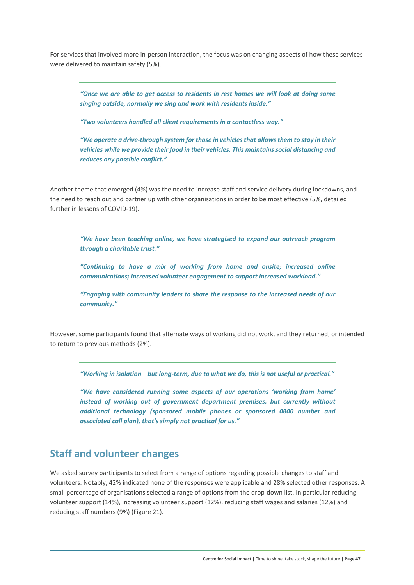For services that involved more in‐person interaction, the focus was on changing aspects of how these services were delivered to maintain safety (5%).

*"Once we are able to get access to residents in rest homes we will look at doing some singing outside, normally we sing and work with residents inside."* 

*"Two volunteers handled all client requirements in a contactless way."* 

*"We operate a drive‐through system for those in vehicles that allows them to stay in their vehicles while we provide their food in their vehicles. This maintains social distancing and reduces any possible conflict."* 

Another theme that emerged (4%) was the need to increase staff and service delivery during lockdowns, and the need to reach out and partner up with other organisations in order to be most effective (5%, detailed further in lessons of COVID‐19).

*"We have been teaching online, we have strategised to expand our outreach program through a charitable trust."* 

*"Continuing to have a mix of working from home and onsite; increased online communications; increased volunteer engagement to support increased workload."* 

*"Engaging with community leaders to share the response to the increased needs of our community."* 

However, some participants found that alternate ways of working did not work, and they returned, or intended to return to previous methods (2%).

*"Working in isolation—but long‐term, due to what we do, this is not useful or practical."* 

*"We have considered running some aspects of our operations 'working from home' instead of working out of government department premises, but currently without additional technology (sponsored mobile phones or sponsored 0800 number and associated call plan), that's simply not practical for us."* 

### **Staff and volunteer changes**

We asked survey participants to select from a range of options regarding possible changes to staff and volunteers. Notably, 42% indicated none of the responses were applicable and 28% selected other responses. A small percentage of organisations selected a range of options from the drop-down list. In particular reducing volunteer support (14%), increasing volunteer support (12%), reducing staff wages and salaries (12%) and reducing staff numbers (9%) (Figure 21).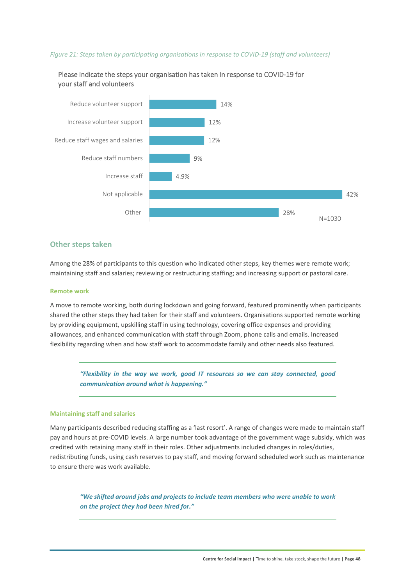#### *Figure 21: Steps taken by participating organisations in response to COVID‐19 (staff and volunteers)*



Please indicate the steps your organisation has taken in response to COVID‐19 for your staff and volunteers

#### **Other steps taken**

Among the 28% of participants to this question who indicated other steps, key themes were remote work; maintaining staff and salaries; reviewing or restructuring staffing; and increasing support or pastoral care.

#### **Remote work**

A move to remote working, both during lockdown and going forward, featured prominently when participants shared the other steps they had taken for their staff and volunteers. Organisations supported remote working by providing equipment, upskilling staff in using technology, covering office expenses and providing allowances, and enhanced communication with staff through Zoom, phone calls and emails. Increased flexibility regarding when and how staff work to accommodate family and other needs also featured.

*"Flexibility in the way we work, good IT resources so we can stay connected, good communication around what is happening."* 

#### **Maintaining staff and salaries**

Many participants described reducing staffing as a 'last resort'. A range of changes were made to maintain staff pay and hours at pre‐COVID levels. A large number took advantage of the government wage subsidy, which was credited with retaining many staff in their roles. Other adjustments included changes in roles/duties, redistributing funds, using cash reserves to pay staff, and moving forward scheduled work such as maintenance to ensure there was work available.

*"We shifted around jobs and projects to include team members who were unable to work on the project they had been hired for."*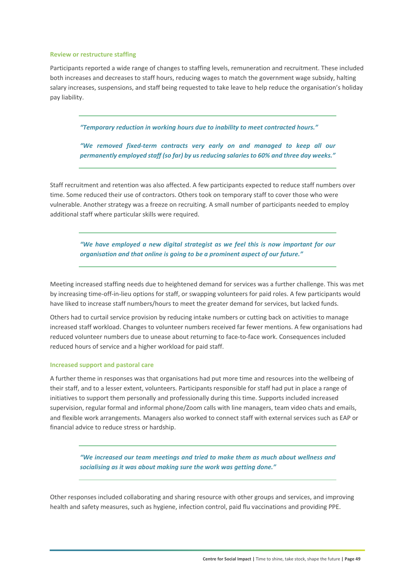#### **Review or restructure staffing**

Participants reported a wide range of changes to staffing levels, remuneration and recruitment. These included both increases and decreases to staff hours, reducing wages to match the government wage subsidy, halting salary increases, suspensions, and staff being requested to take leave to help reduce the organisation's holiday pay liability.

*"Temporary reduction in working hours due to inability to meet contracted hours."* 

*"We removed fixed‐term contracts very early on and managed to keep all our permanently employed staff (so far) by us reducing salaries to 60% and three day weeks."* 

Staff recruitment and retention was also affected. A few participants expected to reduce staff numbers over time. Some reduced their use of contractors. Others took on temporary staff to cover those who were vulnerable. Another strategy was a freeze on recruiting. A small number of participants needed to employ additional staff where particular skills were required.

*"We have employed a new digital strategist as we feel this is now important for our organisation and that online is going to be a prominent aspect of our future."* 

Meeting increased staffing needs due to heightened demand for services was a further challenge. This was met by increasing time‐off‐in‐lieu options for staff, or swapping volunteers for paid roles. A few participants would have liked to increase staff numbers/hours to meet the greater demand for services, but lacked funds.

Others had to curtail service provision by reducing intake numbers or cutting back on activities to manage increased staff workload. Changes to volunteer numbers received far fewer mentions. A few organisations had reduced volunteer numbers due to unease about returning to face‐to‐face work. Consequences included reduced hours of service and a higher workload for paid staff.

#### **Increased support and pastoral care**

A further theme in responses was that organisations had put more time and resources into the wellbeing of their staff, and to a lesser extent, volunteers. Participants responsible for staff had put in place a range of initiatives to support them personally and professionally during this time. Supports included increased supervision, regular formal and informal phone/Zoom calls with line managers, team video chats and emails, and flexible work arrangements. Managers also worked to connect staff with external services such as EAP or financial advice to reduce stress or hardship.

*"We increased our team meetings and tried to make them as much about wellness and socialising as it was about making sure the work was getting done."* 

Other responses included collaborating and sharing resource with other groups and services, and improving health and safety measures, such as hygiene, infection control, paid flu vaccinations and providing PPE.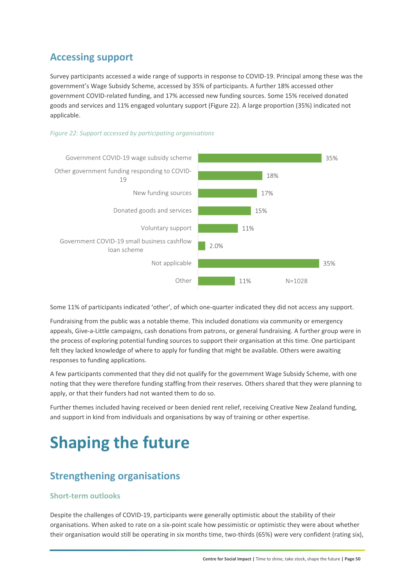### **Accessing support**

Survey participants accessed a wide range of supports in response to COVID‐19. Principal among these was the government's Wage Subsidy Scheme, accessed by 35% of participants. A further 18% accessed other government COVID‐related funding, and 17% accessed new funding sources. Some 15% received donated goods and services and 11% engaged voluntary support (Figure 22). A large proportion (35%) indicated not applicable.





Some 11% of participants indicated 'other', of which one-quarter indicated they did not access any support.

Fundraising from the public was a notable theme. This included donations via community or emergency appeals, Give‐a‐Little campaigns, cash donations from patrons, or general fundraising. A further group were in the process of exploring potential funding sources to support their organisation at this time. One participant felt they lacked knowledge of where to apply for funding that might be available. Others were awaiting responses to funding applications.

A few participants commented that they did not qualify for the government Wage Subsidy Scheme, with one noting that they were therefore funding staffing from their reserves. Others shared that they were planning to apply, or that their funders had not wanted them to do so.

Further themes included having received or been denied rent relief, receiving Creative New Zealand funding, and support in kind from individuals and organisations by way of training or other expertise.

## **Shaping the future**

## **Strengthening organisations**

#### **Short‐term outlooks**

Despite the challenges of COVID‐19, participants were generally optimistic about the stability of their organisations. When asked to rate on a six‐point scale how pessimistic or optimistic they were about whether their organisation would still be operating in six months time, two-thirds (65%) were very confident (rating six),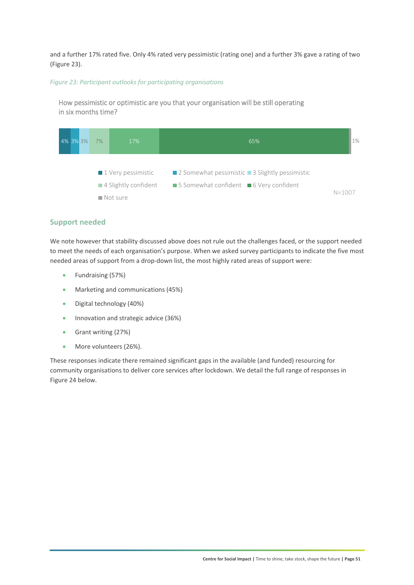and a further 17% rated five. Only 4% rated very pessimistic (rating one) and a further 3% gave a rating of two (Figure 23).

#### *Figure 23: Participant outlooks for participating organisations*

How pessimistic or optimistic are you that your organisation will be still operating in six months time?



#### **Support needed**

We note however that stability discussed above does not rule out the challenges faced, or the support needed to meet the needs of each organisation's purpose. When we asked survey participants to indicate the five most needed areas of support from a drop-down list, the most highly rated areas of support were:

- Fundraising (57%)
- Marketing and communications (45%)
- Digital technology (40%)
- **Innovation and strategic advice (36%)**
- Grant writing (27%)
- More volunteers (26%).

These responses indicate there remained significant gaps in the available (and funded) resourcing for community organisations to deliver core services after lockdown. We detail the full range of responses in Figure 24 below.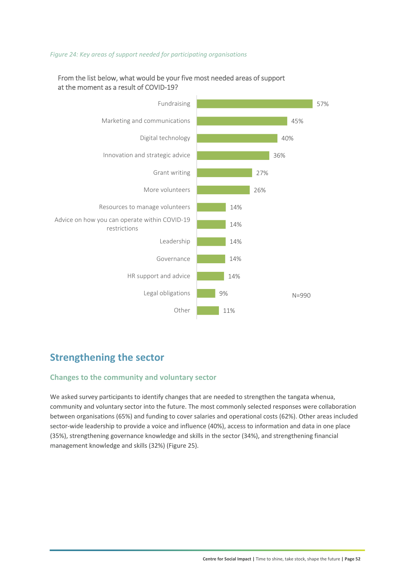#### *Figure 24: Key areas of support needed for participating organisations*



#### From the list below, what would be your five most needed areas of support at the moment as a result of COVID‐19?

### **Strengthening the sector**

#### **Changes to the community and voluntary sector**

We asked survey participants to identify changes that are needed to strengthen the tangata whenua, community and voluntary sector into the future. The most commonly selected responses were collaboration between organisations (65%) and funding to cover salaries and operational costs (62%). Other areas included sector-wide leadership to provide a voice and influence (40%), access to information and data in one place (35%), strengthening governance knowledge and skills in the sector (34%), and strengthening financial management knowledge and skills (32%) (Figure 25).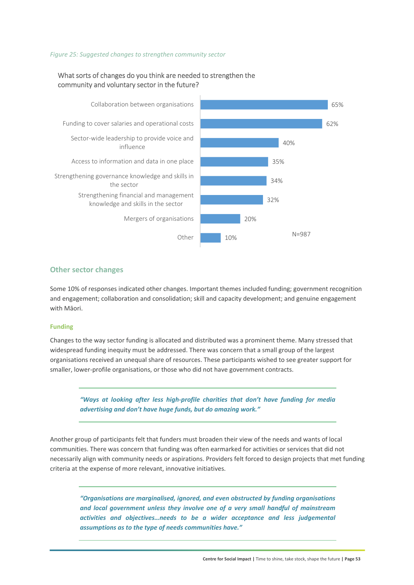#### *Figure 25: Suggested changes to strengthen community sector*



#### What sorts of changes do you think are needed to strengthen the community and voluntary sector in the future?

#### **Other sector changes**

Some 10% of responses indicated other changes. Important themes included funding; government recognition and engagement; collaboration and consolidation; skill and capacity development; and genuine engagement with Māori.

#### **Funding**

Changes to the way sector funding is allocated and distributed was a prominent theme. Many stressed that widespread funding inequity must be addressed. There was concern that a small group of the largest organisations received an unequal share of resources. These participants wished to see greater support for smaller, lower-profile organisations, or those who did not have government contracts.

*"Ways at looking after less high‐profile charities that don't have funding for media advertising and don't have huge funds, but do amazing work."* 

Another group of participants felt that funders must broaden their view of the needs and wants of local communities. There was concern that funding was often earmarked for activities or services that did not necessarily align with community needs or aspirations. Providers felt forced to design projects that met funding criteria at the expense of more relevant, innovative initiatives.

*"Organisations are marginalised, ignored, and even obstructed by funding organisations and local government unless they involve one of a very small handful of mainstream activities and objectives…needs to be a wider acceptance and less judgemental assumptions as to the type of needs communities have."*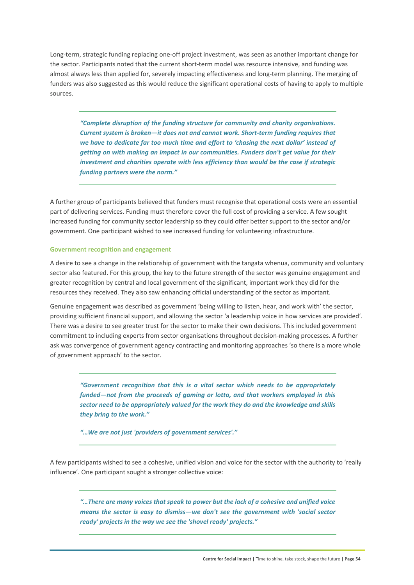Long-term, strategic funding replacing one-off project investment, was seen as another important change for the sector. Participants noted that the current short-term model was resource intensive, and funding was almost always less than applied for, severely impacting effectiveness and long‐term planning. The merging of funders was also suggested as this would reduce the significant operational costs of having to apply to multiple sources.

*"Complete disruption of the funding structure for community and charity organisations. Current system is broken—it does not and cannot work. Short‐term funding requires that we have to dedicate far too much time and effort to 'chasing the next dollar' instead of getting on with making an impact in our communities. Funders don't get value for their investment and charities operate with less efficiency than would be the case if strategic funding partners were the norm."* 

A further group of participants believed that funders must recognise that operational costs were an essential part of delivering services. Funding must therefore cover the full cost of providing a service. A few sought increased funding for community sector leadership so they could offer better support to the sector and/or government. One participant wished to see increased funding for volunteering infrastructure.

#### **Government recognition and engagement**

A desire to see a change in the relationship of government with the tangata whenua, community and voluntary sector also featured. For this group, the key to the future strength of the sector was genuine engagement and greater recognition by central and local government of the significant, important work they did for the resources they received. They also saw enhancing official understanding of the sector as important.

Genuine engagement was described as government 'being willing to listen, hear, and work with' the sector, providing sufficient financial support, and allowing the sector 'a leadership voice in how services are provided'. There was a desire to see greater trust for the sector to make their own decisions. This included government commitment to including experts from sector organisations throughout decision-making processes. A further ask was convergence of government agency contracting and monitoring approaches 'so there is a more whole of government approach' to the sector.

*"Government recognition that this is a vital sector which needs to be appropriately funded—not from the proceeds of gaming or lotto, and that workers employed in this sector need to be appropriately valued for the work they do and the knowledge and skills they bring to the work."* 

*"…We are not just 'providers of government services'."* 

A few participants wished to see a cohesive, unified vision and voice for the sector with the authority to 'really influence'. One participant sought a stronger collective voice:

*"…There are many voices that speak to power but the lack of a cohesive and unified voice means the sector is easy to dismiss—we don't see the government with 'social sector ready' projects in the way we see the 'shovel ready' projects."*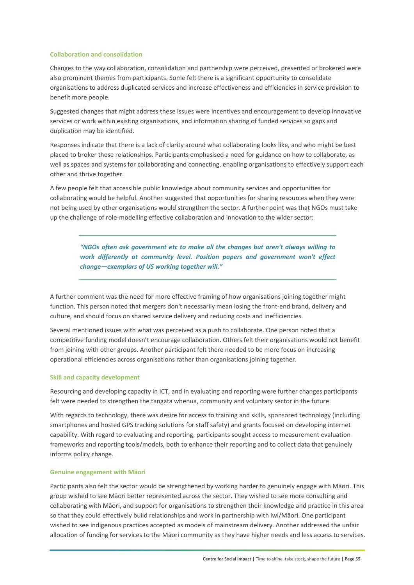#### **Collaboration and consolidation**

Changes to the way collaboration, consolidation and partnership were perceived, presented or brokered were also prominent themes from participants. Some felt there is a significant opportunity to consolidate organisations to address duplicated services and increase effectiveness and efficiencies in service provision to benefit more people.

Suggested changes that might address these issues were incentives and encouragement to develop innovative services or work within existing organisations, and information sharing of funded services so gaps and duplication may be identified.

Responses indicate that there is a lack of clarity around what collaborating looks like, and who might be best placed to broker these relationships. Participants emphasised a need for guidance on how to collaborate, as well as spaces and systems for collaborating and connecting, enabling organisations to effectively support each other and thrive together.

A few people felt that accessible public knowledge about community services and opportunities for collaborating would be helpful. Another suggested that opportunities for sharing resources when they were not being used by other organisations would strengthen the sector. A further point was that NGOs must take up the challenge of role‐modelling effective collaboration and innovation to the wider sector:

*"NGOs often ask government etc to make all the changes but aren't always willing to work differently at community level. Position papers and government won't effect change—exemplars of US working together will."* 

A further comment was the need for more effective framing of how organisations joining together might function. This person noted that mergers don't necessarily mean losing the front-end brand, delivery and culture, and should focus on shared service delivery and reducing costs and inefficiencies.

Several mentioned issues with what was perceived as a push to collaborate. One person noted that a competitive funding model doesn't encourage collaboration. Others felt their organisations would not benefit from joining with other groups. Another participant felt there needed to be more focus on increasing operational efficiencies across organisations rather than organisations joining together.

#### **Skill and capacity development**

Resourcing and developing capacity in ICT, and in evaluating and reporting were further changes participants felt were needed to strengthen the tangata whenua, community and voluntary sector in the future.

With regards to technology, there was desire for access to training and skills, sponsored technology (including smartphones and hosted GPS tracking solutions for staff safety) and grants focused on developing internet capability. With regard to evaluating and reporting, participants sought access to measurement evaluation frameworks and reporting tools/models, both to enhance their reporting and to collect data that genuinely informs policy change.

#### **Genuine engagement with Māori**

Participants also felt the sector would be strengthened by working harder to genuinely engage with Māori. This group wished to see Māori better represented across the sector. They wished to see more consulting and collaborating with Māori, and support for organisations to strengthen their knowledge and practice in this area so that they could effectively build relationships and work in partnership with iwi/Māori. One participant wished to see indigenous practices accepted as models of mainstream delivery. Another addressed the unfair allocation of funding for services to the Māori community as they have higher needs and less access to services.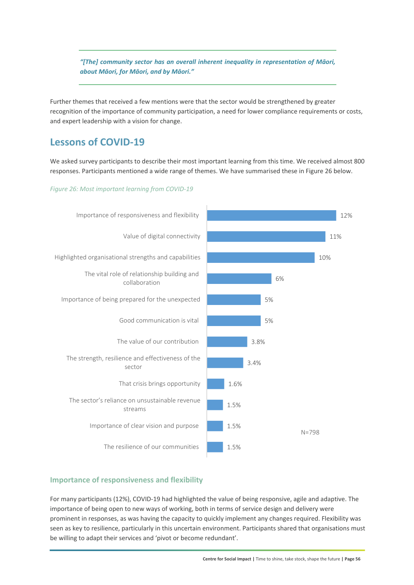*"[The] community sector has an overall inherent inequality in representation of Māori, about Māori, for Māori, and by Māori."* 

Further themes that received a few mentions were that the sector would be strengthened by greater recognition of the importance of community participation, a need for lower compliance requirements or costs, and expert leadership with a vision for change.

### **Lessons of COVID‐19**

We asked survey participants to describe their most important learning from this time. We received almost 800 responses. Participants mentioned a wide range of themes. We have summarised these in Figure 26 below.

#### *Figure 26: Most important learning from COVID‐19*



#### **Importance of responsiveness and flexibility**

For many participants (12%), COVID‐19 had highlighted the value of being responsive, agile and adaptive. The importance of being open to new ways of working, both in terms of service design and delivery were prominent in responses, as was having the capacity to quickly implement any changes required. Flexibility was seen as key to resilience, particularly in this uncertain environment. Participants shared that organisations must be willing to adapt their services and 'pivot or become redundant'.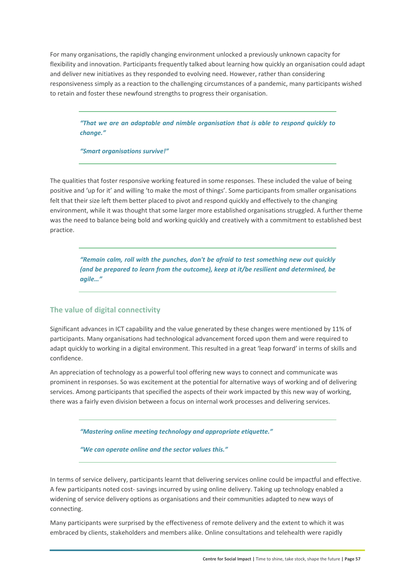For many organisations, the rapidly changing environment unlocked a previously unknown capacity for flexibility and innovation. Participants frequently talked about learning how quickly an organisation could adapt and deliver new initiatives as they responded to evolving need. However, rather than considering responsiveness simply as a reaction to the challenging circumstances of a pandemic, many participants wished to retain and foster these newfound strengths to progress their organisation.

*"That we are an adaptable and nimble organisation that is able to respond quickly to change."* 

*"Smart organisations survive!"* 

The qualities that foster responsive working featured in some responses. These included the value of being positive and 'up for it' and willing 'to make the most of things'. Some participants from smaller organisations felt that their size left them better placed to pivot and respond quickly and effectively to the changing environment, while it was thought that some larger more established organisations struggled. A further theme was the need to balance being bold and working quickly and creatively with a commitment to established best practice.

*"Remain calm, roll with the punches, don't be afraid to test something new out quickly (and be prepared to learn from the outcome), keep at it/be resilient and determined, be agile…"* 

#### **The value of digital connectivity**

Significant advances in ICT capability and the value generated by these changes were mentioned by 11% of participants. Many organisations had technological advancement forced upon them and were required to adapt quickly to working in a digital environment. This resulted in a great 'leap forward' in terms of skills and confidence.

An appreciation of technology as a powerful tool offering new ways to connect and communicate was prominent in responses. So was excitement at the potential for alternative ways of working and of delivering services. Among participants that specified the aspects of their work impacted by this new way of working, there was a fairly even division between a focus on internal work processes and delivering services.

*"Mastering online meeting technology and appropriate etiquette."* 

*"We can operate online and the sector values this."* 

In terms of service delivery, participants learnt that delivering services online could be impactful and effective. A few participants noted cost‐ savings incurred by using online delivery. Taking up technology enabled a widening of service delivery options as organisations and their communities adapted to new ways of connecting.

Many participants were surprised by the effectiveness of remote delivery and the extent to which it was embraced by clients, stakeholders and members alike. Online consultations and telehealth were rapidly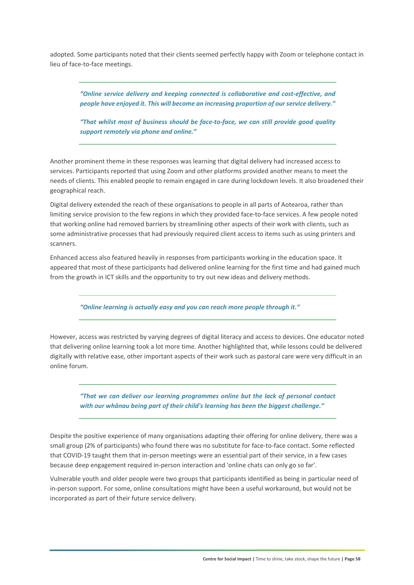adopted. Some participants noted that their clients seemed perfectly happy with Zoom or telephone contact in lieu of face‐to‐face meetings.

*"Online service delivery and keeping connected is collaborative and cost‐effective, and people have enjoyed it. This will become an increasing proportion of our service delivery."* 

*"That whilst most of business should be face‐to‐face, we can still provide good quality support remotely via phone and online."* 

Another prominent theme in these responses was learning that digital delivery had increased access to services. Participants reported that using Zoom and other platforms provided another means to meet the needs of clients. This enabled people to remain engaged in care during lockdown levels. It also broadened their geographical reach.

Digital delivery extended the reach of these organisations to people in all parts of Aotearoa, rather than limiting service provision to the few regions in which they provided face-to-face services. A few people noted that working online had removed barriers by streamlining other aspects of their work with clients, such as some administrative processes that had previously required client access to items such as using printers and scanners.

Enhanced access also featured heavily in responses from participants working in the education space. It appeared that most of these participants had delivered online learning for the first time and had gained much from the growth in ICT skills and the opportunity to try out new ideas and delivery methods.

*"Online learning is actually easy and you can reach more people through it."* 

However, access was restricted by varying degrees of digital literacy and access to devices. One educator noted that delivering online learning took a lot more time. Another highlighted that, while lessons could be delivered digitally with relative ease, other important aspects of their work such as pastoral care were very difficult in an online forum.

*"That we can deliver our learning programmes online but the lack of personal contact with our whānau being part of their child's learning has been the biggest challenge."* 

Despite the positive experience of many organisations adapting their offering for online delivery, there was a small group (2% of participants) who found there was no substitute for face-to-face contact. Some reflected that COVID‐19 taught them that in‐person meetings were an essential part of their service, in a few cases because deep engagement required in‐person interaction and 'online chats can only go so far'.

Vulnerable youth and older people were two groups that participants identified as being in particular need of in-person support. For some, online consultations might have been a useful workaround, but would not be incorporated as part of their future service delivery.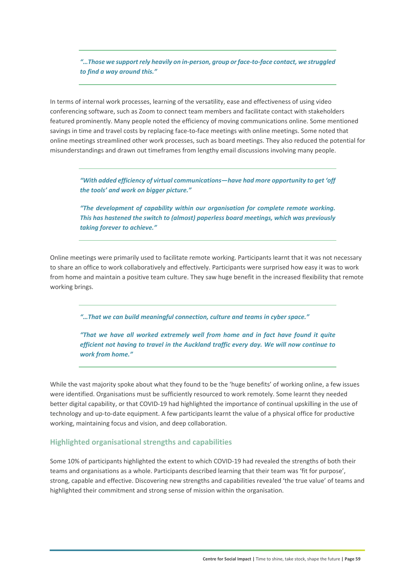*"…Those we support rely heavily on in‐person, group or face‐to‐face contact, we struggled to find a way around this."* 

In terms of internal work processes, learning of the versatility, ease and effectiveness of using video conferencing software, such as Zoom to connect team members and facilitate contact with stakeholders featured prominently. Many people noted the efficiency of moving communications online. Some mentioned savings in time and travel costs by replacing face-to-face meetings with online meetings. Some noted that online meetings streamlined other work processes, such as board meetings. They also reduced the potential for misunderstandings and drawn out timeframes from lengthy email discussions involving many people.

*"With added efficiency of virtual communications—have had more opportunity to get 'off the tools' and work on bigger picture."* 

*"The development of capability within our organisation for complete remote working. This has hastened the switch to (almost) paperless board meetings, which was previously taking forever to achieve."* 

Online meetings were primarily used to facilitate remote working. Participants learnt that it was not necessary to share an office to work collaboratively and effectively. Participants were surprised how easy it was to work from home and maintain a positive team culture. They saw huge benefit in the increased flexibility that remote working brings.

*"…That we can build meaningful connection, culture and teams in cyber space."* 

*"That we have all worked extremely well from home and in fact have found it quite efficient not having to travel in the Auckland traffic every day. We will now continue to work from home."* 

While the vast majority spoke about what they found to be the 'huge benefits' of working online, a few issues were identified. Organisations must be sufficiently resourced to work remotely. Some learnt they needed better digital capability, or that COVID-19 had highlighted the importance of continual upskilling in the use of technology and up‐to‐date equipment. A few participants learnt the value of a physical office for productive working, maintaining focus and vision, and deep collaboration.

#### **Highlighted organisational strengths and capabilities**

Some 10% of participants highlighted the extent to which COVID-19 had revealed the strengths of both their teams and organisations as a whole. Participants described learning that their team was 'fit for purpose', strong, capable and effective. Discovering new strengths and capabilities revealed 'the true value' of teams and highlighted their commitment and strong sense of mission within the organisation.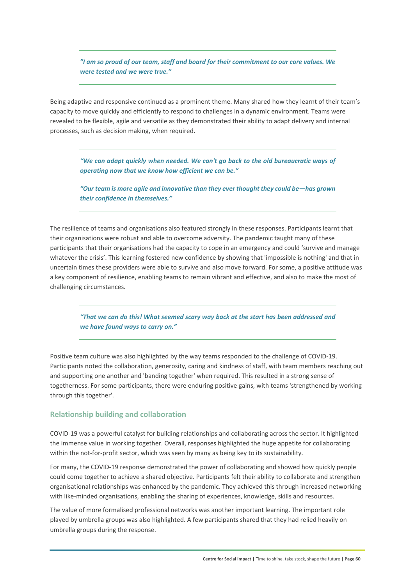*"I am so proud of our team, staff and board for their commitment to our core values. We were tested and we were true."* 

Being adaptive and responsive continued as a prominent theme. Many shared how they learnt of their team's capacity to move quickly and efficiently to respond to challenges in a dynamic environment. Teams were revealed to be flexible, agile and versatile as they demonstrated their ability to adapt delivery and internal processes, such as decision making, when required.

*"We can adapt quickly when needed. We can't go back to the old bureaucratic ways of operating now that we know how efficient we can be."* 

*"Our team is more agile and innovative than they ever thought they could be—has grown their confidence in themselves."* 

The resilience of teams and organisations also featured strongly in these responses. Participants learnt that their organisations were robust and able to overcome adversity. The pandemic taught many of these participants that their organisations had the capacity to cope in an emergency and could 'survive and manage whatever the crisis'. This learning fostered new confidence by showing that 'impossible is nothing' and that in uncertain times these providers were able to survive and also move forward. For some, a positive attitude was a key component of resilience, enabling teams to remain vibrant and effective, and also to make the most of challenging circumstances.

*"That we can do this! What seemed scary way back at the start has been addressed and we have found ways to carry on."* 

Positive team culture was also highlighted by the way teams responded to the challenge of COVID‐19. Participants noted the collaboration, generosity, caring and kindness of staff, with team members reaching out and supporting one another and 'banding together' when required. This resulted in a strong sense of togetherness. For some participants, there were enduring positive gains, with teams 'strengthened by working through this together'.

#### **Relationship building and collaboration**

COVID‐19 was a powerful catalyst for building relationships and collaborating across the sector. It highlighted the immense value in working together. Overall, responses highlighted the huge appetite for collaborating within the not-for-profit sector, which was seen by many as being key to its sustainability.

For many, the COVID‐19 response demonstrated the power of collaborating and showed how quickly people could come together to achieve a shared objective. Participants felt their ability to collaborate and strengthen organisational relationships was enhanced by the pandemic. They achieved this through increased networking with like-minded organisations, enabling the sharing of experiences, knowledge, skills and resources.

The value of more formalised professional networks was another important learning. The important role played by umbrella groups was also highlighted. A few participants shared that they had relied heavily on umbrella groups during the response.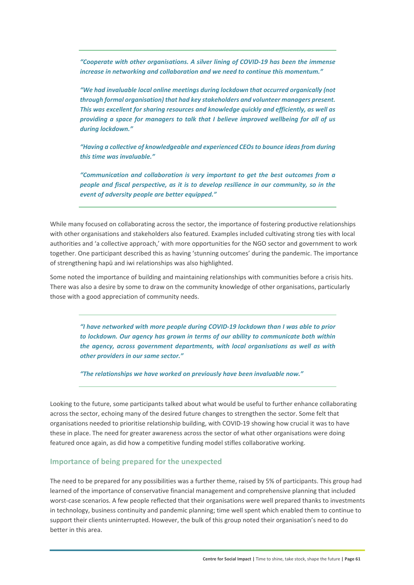*"Cooperate with other organisations. A silver lining of COVID‐19 has been the immense increase in networking and collaboration and we need to continue this momentum."* 

*"We had invaluable local online meetings during lockdown that occurred organically (not through formal organisation) that had key stakeholders and volunteer managers present. This was excellent for sharing resources and knowledge quickly and efficiently, as well as providing a space for managers to talk that I believe improved wellbeing for all of us during lockdown."* 

*"Having a collective of knowledgeable and experienced CEOs to bounce ideas from during this time was invaluable."* 

*"Communication and collaboration is very important to get the best outcomes from a people and fiscal perspective, as it is to develop resilience in our community, so in the event of adversity people are better equipped."* 

While many focused on collaborating across the sector, the importance of fostering productive relationships with other organisations and stakeholders also featured. Examples included cultivating strong ties with local authorities and 'a collective approach,' with more opportunities for the NGO sector and government to work together. One participant described this as having 'stunning outcomes' during the pandemic. The importance of strengthening hapū and iwi relationships was also highlighted.

Some noted the importance of building and maintaining relationships with communities before a crisis hits. There was also a desire by some to draw on the community knowledge of other organisations, particularly those with a good appreciation of community needs.

*"I have networked with more people during COVID‐19 lockdown than I was able to prior to lockdown. Our agency has grown in terms of our ability to communicate both within the agency, across government departments, with local organisations as well as with other providers in our same sector."* 

*"The relationships we have worked on previously have been invaluable now."* 

Looking to the future, some participants talked about what would be useful to further enhance collaborating across the sector, echoing many of the desired future changes to strengthen the sector. Some felt that organisations needed to prioritise relationship building, with COVID‐19 showing how crucial it was to have these in place. The need for greater awareness across the sector of what other organisations were doing featured once again, as did how a competitive funding model stifles collaborative working.

#### **Importance of being prepared for the unexpected**

The need to be prepared for any possibilities was a further theme, raised by 5% of participants. This group had learned of the importance of conservative financial management and comprehensive planning that included worst-case scenarios. A few people reflected that their organisations were well prepared thanks to investments in technology, business continuity and pandemic planning; time well spent which enabled them to continue to support their clients uninterrupted. However, the bulk of this group noted their organisation's need to do better in this area.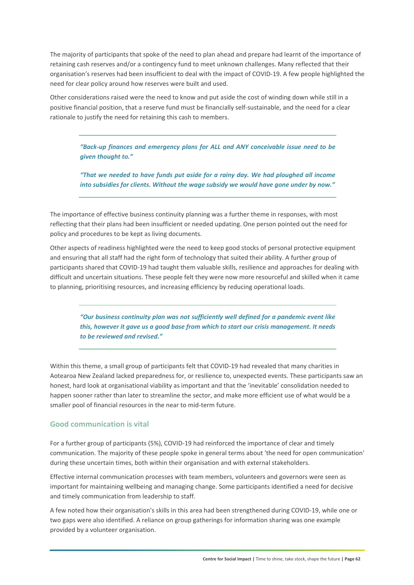The majority of participants that spoke of the need to plan ahead and prepare had learnt of the importance of retaining cash reserves and/or a contingency fund to meet unknown challenges. Many reflected that their organisation's reserves had been insufficient to deal with the impact of COVID‐19. A few people highlighted the need for clear policy around how reserves were built and used.

Other considerations raised were the need to know and put aside the cost of winding down while still in a positive financial position, that a reserve fund must be financially self‐sustainable, and the need for a clear rationale to justify the need for retaining this cash to members.

*"Back‐up finances and emergency plans for ALL and ANY conceivable issue need to be given thought to."* 

*"That we needed to have funds put aside for a rainy day. We had ploughed all income into subsidies for clients. Without the wage subsidy we would have gone under by now."* 

The importance of effective business continuity planning was a further theme in responses, with most reflecting that their plans had been insufficient or needed updating. One person pointed out the need for policy and procedures to be kept as living documents.

Other aspects of readiness highlighted were the need to keep good stocks of personal protective equipment and ensuring that all staff had the right form of technology that suited their ability. A further group of participants shared that COVID‐19 had taught them valuable skills, resilience and approaches for dealing with difficult and uncertain situations. These people felt they were now more resourceful and skilled when it came to planning, prioritising resources, and increasing efficiency by reducing operational loads.

*"Our business continuity plan was not sufficiently well defined for a pandemic event like this, however it gave us a good base from which to start our crisis management. It needs to be reviewed and revised."* 

Within this theme, a small group of participants felt that COVID‐19 had revealed that many charities in Aotearoa New Zealand lacked preparedness for, or resilience to, unexpected events. These participants saw an honest, hard look at organisational viability as important and that the 'inevitable' consolidation needed to happen sooner rather than later to streamline the sector, and make more efficient use of what would be a smaller pool of financial resources in the near to mid-term future.

#### **Good communication is vital**

For a further group of participants (5%), COVID-19 had reinforced the importance of clear and timely communication. The majority of these people spoke in general terms about 'the need for open communication' during these uncertain times, both within their organisation and with external stakeholders.

Effective internal communication processes with team members, volunteers and governors were seen as important for maintaining wellbeing and managing change. Some participants identified a need for decisive and timely communication from leadership to staff.

A few noted how their organisation's skills in this area had been strengthened during COVID‐19, while one or two gaps were also identified. A reliance on group gatherings for information sharing was one example provided by a volunteer organisation.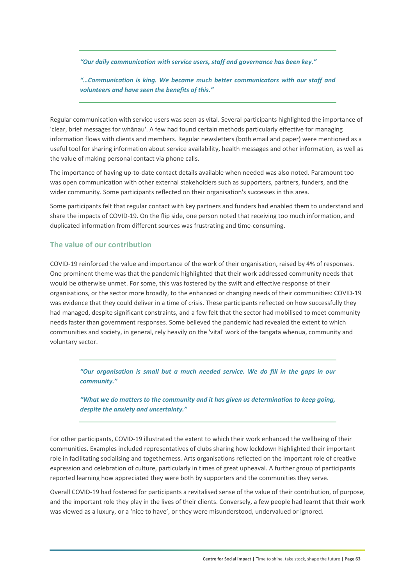*"Our daily communication with service users, staff and governance has been key."* 

*"…Communication is king. We became much better communicators with our staff and*  volunteers and have seen the benefits of this."

Regular communication with service users was seen as vital. Several participants highlighted the importance of 'clear, brief messages for whānau'. A few had found certain methods particularly effective for managing information flows with clients and members. Regular newsletters (both email and paper) were mentioned as a useful tool for sharing information about service availability, health messages and other information, as well as the value of making personal contact via phone calls.

The importance of having up‐to‐date contact details available when needed was also noted. Paramount too was open communication with other external stakeholders such as supporters, partners, funders, and the wider community. Some participants reflected on their organisation's successes in this area.

Some participants felt that regular contact with key partners and funders had enabled them to understand and share the impacts of COVID-19. On the flip side, one person noted that receiving too much information, and duplicated information from different sources was frustrating and time-consuming.

#### **The value of our contribution**

COVID‐19 reinforced the value and importance of the work of their organisation, raised by 4% of responses. One prominent theme was that the pandemic highlighted that their work addressed community needs that would be otherwise unmet. For some, this was fostered by the swift and effective response of their organisations, or the sector more broadly, to the enhanced or changing needs of their communities: COVID‐19 was evidence that they could deliver in a time of crisis. These participants reflected on how successfully they had managed, despite significant constraints, and a few felt that the sector had mobilised to meet community needs faster than government responses. Some believed the pandemic had revealed the extent to which communities and society, in general, rely heavily on the 'vital' work of the tangata whenua, community and voluntary sector.

*"Our organisation is small but a much needed service. We do fill in the gaps in our community."* 

*"What we do matters to the community and it has given us determination to keep going, despite the anxiety and uncertainty."* 

For other participants, COVID‐19 illustrated the extent to which their work enhanced the wellbeing of their communities. Examples included representatives of clubs sharing how lockdown highlighted their important role in facilitating socialising and togetherness. Arts organisations reflected on the important role of creative expression and celebration of culture, particularly in times of great upheaval. A further group of participants reported learning how appreciated they were both by supporters and the communities they serve.

Overall COVID‐19 had fostered for participants a revitalised sense of the value of their contribution, of purpose, and the important role they play in the lives of their clients. Conversely, a few people had learnt that their work was viewed as a luxury, or a 'nice to have', or they were misunderstood, undervalued or ignored.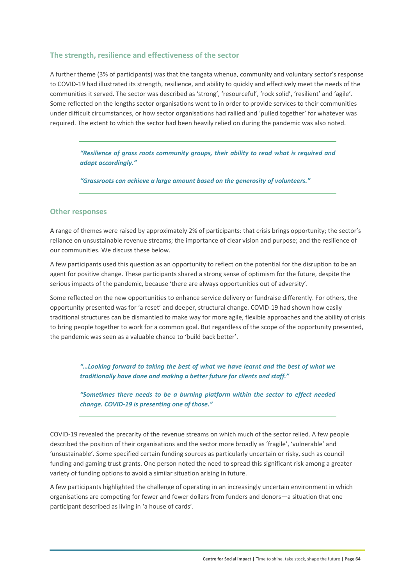#### **The strength, resilience and effectiveness of the sector**

A further theme (3% of participants) was that the tangata whenua, community and voluntary sector's response to COVID‐19 had illustrated its strength, resilience, and ability to quickly and effectively meet the needs of the communities it served. The sector was described as 'strong', 'resourceful', 'rock solid', 'resilient' and 'agile'. Some reflected on the lengths sector organisations went to in order to provide services to their communities under difficult circumstances, or how sector organisations had rallied and 'pulled together' for whatever was required. The extent to which the sector had been heavily relied on during the pandemic was also noted.

*"Resilience of grass roots community groups, their ability to read what is required and adapt accordingly."* 

*"Grassroots can achieve a large amount based on the generosity of volunteers."* 

#### **Other responses**

A range of themes were raised by approximately 2% of participants: that crisis brings opportunity; the sector's reliance on unsustainable revenue streams; the importance of clear vision and purpose; and the resilience of our communities. We discuss these below.

A few participants used this question as an opportunity to reflect on the potential for the disruption to be an agent for positive change. These participants shared a strong sense of optimism for the future, despite the serious impacts of the pandemic, because 'there are always opportunities out of adversity'.

Some reflected on the new opportunities to enhance service delivery or fundraise differently. For others, the opportunity presented was for 'a reset' and deeper, structural change. COVID‐19 had shown how easily traditional structures can be dismantled to make way for more agile, flexible approaches and the ability of crisis to bring people together to work for a common goal. But regardless of the scope of the opportunity presented, the pandemic was seen as a valuable chance to 'build back better'.

*"…Looking forward to taking the best of what we have learnt and the best of what we traditionally have done and making a better future for clients and staff."* 

*"Sometimes there needs to be a burning platform within the sector to effect needed change. COVID‐19 is presenting one of those."* 

COVID‐19 revealed the precarity of the revenue streams on which much of the sector relied. A few people described the position of their organisations and the sector more broadly as 'fragile', 'vulnerable' and 'unsustainable'. Some specified certain funding sources as particularly uncertain or risky, such as council funding and gaming trust grants. One person noted the need to spread this significant risk among a greater variety of funding options to avoid a similar situation arising in future.

A few participants highlighted the challenge of operating in an increasingly uncertain environment in which organisations are competing for fewer and fewer dollars from funders and donors—a situation that one participant described as living in 'a house of cards'.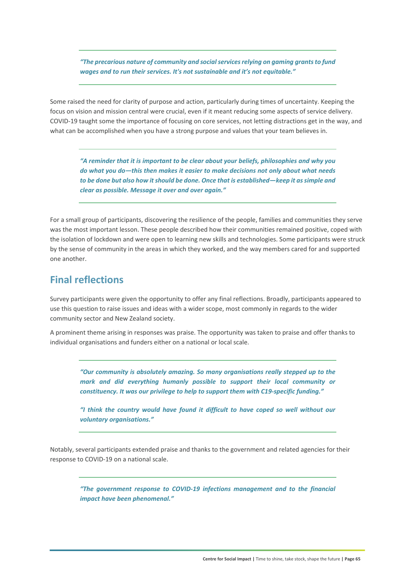*"The precarious nature of community and social services relying on gaming grants to fund wages and to run their services. It's not sustainable and it's not equitable."* 

Some raised the need for clarity of purpose and action, particularly during times of uncertainty. Keeping the focus on vision and mission central were crucial, even if it meant reducing some aspects of service delivery. COVID‐19 taught some the importance of focusing on core services, not letting distractions get in the way, and what can be accomplished when you have a strong purpose and values that your team believes in.

*"A reminder that it is important to be clear about your beliefs, philosophies and why you do what you do—this then makes it easier to make decisions not only about what needs to be done but also how it should be done. Once that is established—keep it as simple and clear as possible. Message it over and over again."* 

For a small group of participants, discovering the resilience of the people, families and communities they serve was the most important lesson. These people described how their communities remained positive, coped with the isolation of lockdown and were open to learning new skills and technologies. Some participants were struck by the sense of community in the areas in which they worked, and the way members cared for and supported one another.

### **Final reflections**

Survey participants were given the opportunity to offer any final reflections. Broadly, participants appeared to use this question to raise issues and ideas with a wider scope, most commonly in regards to the wider community sector and New Zealand society.

A prominent theme arising in responses was praise. The opportunity was taken to praise and offer thanks to individual organisations and funders either on a national or local scale.

*"Our community is absolutely amazing. So many organisations really stepped up to the mark and did everything humanly possible to support their local community or constituency. It was our privilege to help to support them with C19‐specific funding."* 

*"I think the country would have found it difficult to have coped so well without our voluntary organisations."* 

Notably, several participants extended praise and thanks to the government and related agencies for their response to COVID‐19 on a national scale.

*"The government response to COVID‐19 infections management and to the financial impact have been phenomenal."*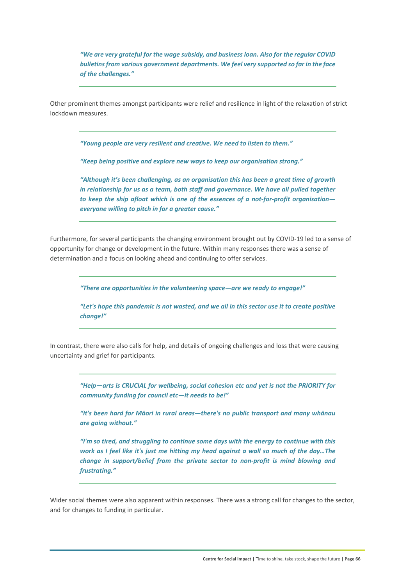*"We are very grateful for the wage subsidy, and business loan. Also for the regular COVID bulletins from various government departments. We feel very supported so far in the face of the challenges."* 

Other prominent themes amongst participants were relief and resilience in light of the relaxation of strict lockdown measures.

*"Young people are very resilient and creative. We need to listen to them."* 

*"Keep being positive and explore new ways to keep our organisation strong."* 

*"Although it's been challenging, as an organisation this has been a great time of growth in relationship for us as a team, both staff and governance. We have all pulled together to keep the ship afloat which is one of the essences of a not‐for‐profit organisation everyone willing to pitch in for a greater cause."* 

Furthermore, for several participants the changing environment brought out by COVID‐19 led to a sense of opportunity for change or development in the future. Within many responses there was a sense of determination and a focus on looking ahead and continuing to offer services.

*"There are opportunities in the volunteering space—are we ready to engage!"* 

*"Let's hope this pandemic is not wasted, and we all in this sector use it to create positive change!"* 

In contrast, there were also calls for help, and details of ongoing challenges and loss that were causing uncertainty and grief for participants.

> *"Help—arts is CRUCIAL for wellbeing, social cohesion etc and yet is not the PRIORITY for community funding for council etc—it needs to be!"*

> *"It's been hard for Māori in rural areas—there's no public transport and many whānau are going without."*

> *"I'm so tired, and struggling to continue some days with the energy to continue with this work as I feel like it's just me hitting my head against a wall so much of the day…The change in support/belief from the private sector to non-profit is mind blowing and frustrating."*

Wider social themes were also apparent within responses. There was a strong call for changes to the sector, and for changes to funding in particular.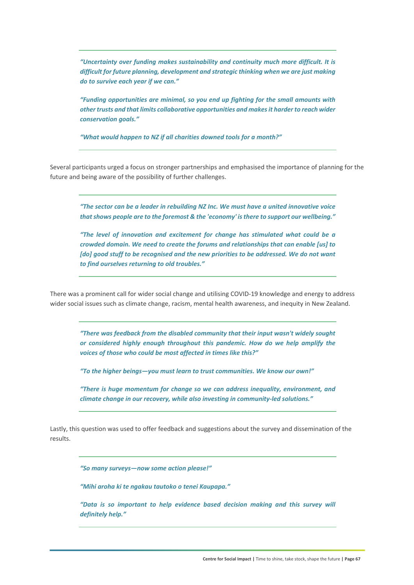*"Uncertainty over funding makes sustainability and continuity much more difficult. It is difficult for future planning, development and strategic thinking when we are just making do to survive each year if we can."* 

*"Funding opportunities are minimal, so you end up fighting for the small amounts with other trusts and that limits collaborative opportunities and makes it harder to reach wider conservation goals."* 

*"What would happen to NZ if all charities downed tools for a month?"* 

Several participants urged a focus on stronger partnerships and emphasised the importance of planning for the future and being aware of the possibility of further challenges.

*"The sector can be a leader in rebuilding NZ Inc. We must have a united innovative voice that shows people are to the foremost & the 'economy' is there to support our wellbeing."* 

*"The level of innovation and excitement for change has stimulated what could be a crowded domain. We need to create the forums and relationships that can enable [us] to [do] good stuff to be recognised and the new priorities to be addressed. We do not want to find ourselves returning to old troubles."* 

There was a prominent call for wider social change and utilising COVID‐19 knowledge and energy to address wider social issues such as climate change, racism, mental health awareness, and inequity in New Zealand.

*"There was feedback from the disabled community that their input wasn't widely sought or considered highly enough throughout this pandemic. How do we help amplify the voices of those who could be most affected in times like this?"*

*"To the higher beings—you must learn to trust communities. We know our own!"* 

*"There is huge momentum for change so we can address inequality, environment, and climate change in our recovery, while also investing in community‐led solutions."* 

Lastly, this question was used to offer feedback and suggestions about the survey and dissemination of the results.

*"So many surveys—now some action please!"* 

*"Mihi aroha ki te ngakau tautoko o tenei Kaupapa."* 

*"Data is so important to help evidence based decision making and this survey will definitely help."*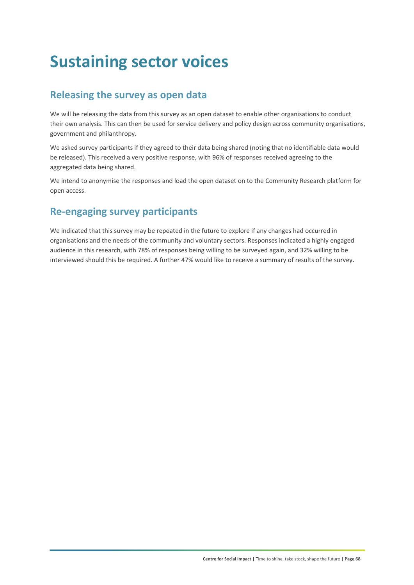## **Sustaining sector voices**

### **Releasing the survey as open data**

We will be releasing the data from this survey as an open dataset to enable other organisations to conduct their own analysis. This can then be used for service delivery and policy design across community organisations, government and philanthropy.

We asked survey participants if they agreed to their data being shared (noting that no identifiable data would be released). This received a very positive response, with 96% of responses received agreeing to the aggregated data being shared.

We intend to anonymise the responses and load the open dataset on to the Community Research platform for open access.

### **Re‐engaging survey participants**

We indicated that this survey may be repeated in the future to explore if any changes had occurred in organisations and the needs of the community and voluntary sectors. Responses indicated a highly engaged audience in this research, with 78% of responses being willing to be surveyed again, and 32% willing to be interviewed should this be required. A further 47% would like to receive a summary of results of the survey.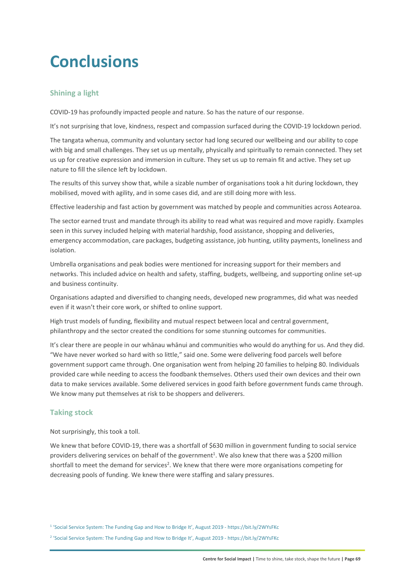## **Conclusions**

#### **Shining a light**

COVID‐19 has profoundly impacted people and nature. So has the nature of our response.

It's not surprising that love, kindness, respect and compassion surfaced during the COVID‐19 lockdown period.

The tangata whenua, community and voluntary sector had long secured our wellbeing and our ability to cope with big and small challenges. They set us up mentally, physically and spiritually to remain connected. They set us up for creative expression and immersion in culture. They set us up to remain fit and active. They set up nature to fill the silence left by lockdown.

The results of this survey show that, while a sizable number of organisations took a hit during lockdown, they mobilised, moved with agility, and in some cases did, and are still doing more with less.

Effective leadership and fast action by government was matched by people and communities across Aotearoa.

The sector earned trust and mandate through its ability to read what was required and move rapidly. Examples seen in this survey included helping with material hardship, food assistance, shopping and deliveries, emergency accommodation, care packages, budgeting assistance, job hunting, utility payments, loneliness and isolation.

Umbrella organisations and peak bodies were mentioned for increasing support for their members and networks. This included advice on health and safety, staffing, budgets, wellbeing, and supporting online set‐up and business continuity.

Organisations adapted and diversified to changing needs, developed new programmes, did what was needed even if it wasn't their core work, or shifted to online support.

High trust models of funding, flexibility and mutual respect between local and central government, philanthropy and the sector created the conditions for some stunning outcomes for communities.

It's clear there are people in our whānau whānui and communities who would do anything for us. And they did. "We have never worked so hard with so little," said one. Some were delivering food parcels well before government support came through. One organisation went from helping 20 families to helping 80. Individuals provided care while needing to access the foodbank themselves. Others used their own devices and their own data to make services available. Some delivered services in good faith before government funds came through. We know many put themselves at risk to be shoppers and deliverers.

#### **Taking stock**

Not surprisingly, this took a toll.

We knew that before COVID-19, there was a shortfall of \$630 million in government funding to social service providers delivering services on behalf of the government<sup>1</sup>. We also knew that there was a \$200 million shortfall to meet the demand for services<sup>2</sup>. We knew that there were more organisations competing for decreasing pools of funding. We knew there were staffing and salary pressures.

1 'Social Service System: The Funding Gap and How to Bridge It', August 2019 ‐ https://bit.ly/2WYsFKc

2 'Social Service System: The Funding Gap and How to Bridge It', August 2019 ‐ https://bit.ly/2WYsFKc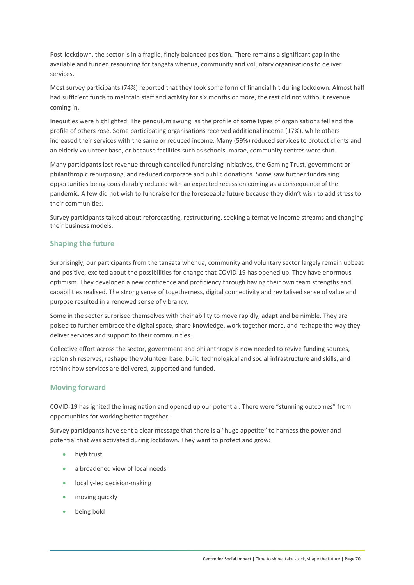Post-lockdown, the sector is in a fragile, finely balanced position. There remains a significant gap in the available and funded resourcing for tangata whenua, community and voluntary organisations to deliver services.

Most survey participants (74%) reported that they took some form of financial hit during lockdown. Almost half had sufficient funds to maintain staff and activity for six months or more, the rest did not without revenue coming in.

Inequities were highlighted. The pendulum swung, as the profile of some types of organisations fell and the profile of others rose. Some participating organisations received additional income (17%), while others increased their services with the same or reduced income. Many (59%) reduced services to protect clients and an elderly volunteer base, or because facilities such as schools, marae, community centres were shut.

Many participants lost revenue through cancelled fundraising initiatives, the Gaming Trust, government or philanthropic repurposing, and reduced corporate and public donations. Some saw further fundraising opportunities being considerably reduced with an expected recession coming as a consequence of the pandemic. A few did not wish to fundraise for the foreseeable future because they didn't wish to add stress to their communities.

Survey participants talked about reforecasting, restructuring, seeking alternative income streams and changing their business models.

#### **Shaping the future**

Surprisingly, our participants from the tangata whenua, community and voluntary sector largely remain upbeat and positive, excited about the possibilities for change that COVID-19 has opened up. They have enormous optimism. They developed a new confidence and proficiency through having their own team strengths and capabilities realised. The strong sense of togetherness, digital connectivity and revitalised sense of value and purpose resulted in a renewed sense of vibrancy.

Some in the sector surprised themselves with their ability to move rapidly, adapt and be nimble. They are poised to further embrace the digital space, share knowledge, work together more, and reshape the way they deliver services and support to their communities.

Collective effort across the sector, government and philanthropy is now needed to revive funding sources, replenish reserves, reshape the volunteer base, build technological and social infrastructure and skills, and rethink how services are delivered, supported and funded.

#### **Moving forward**

COVID‐19 has ignited the imagination and opened up our potential. There were "stunning outcomes" from opportunities for working better together.

Survey participants have sent a clear message that there is a "huge appetite" to harness the power and potential that was activated during lockdown. They want to protect and grow:

- high trust
- a broadened view of local needs
- locally‐led decision‐making
- moving quickly
- **•** being bold